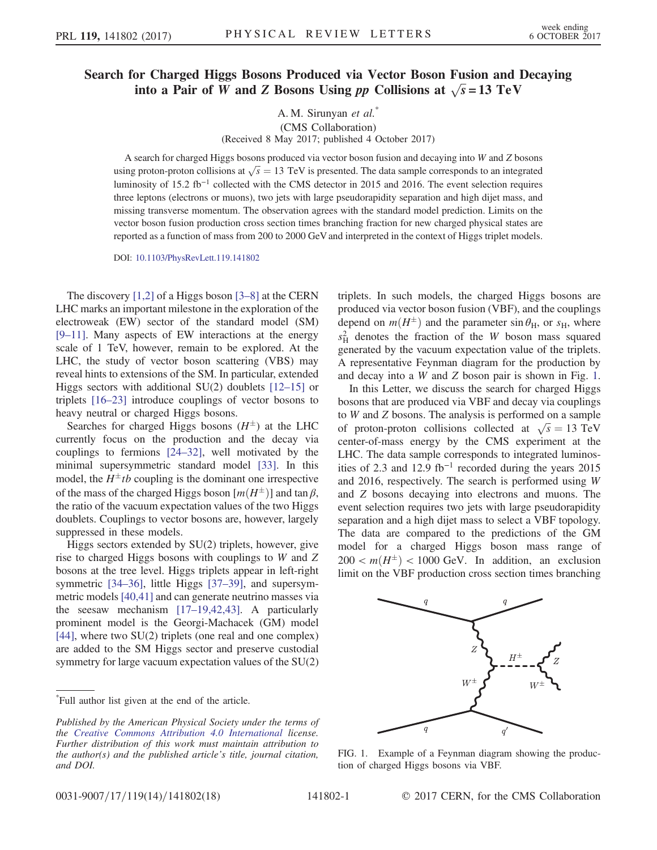## Search for Charged Higgs Bosons Produced via Vector Boson Fusion and Decaying into a Pair of W and Z Bosons Using pp Collisions at  $\sqrt{s} = 13 \text{ TeV}$

A. M. Sirunyan et al.<sup>\*</sup> (CMS Collaboration) (Received 8 May 2017; published 4 October 2017)

A search for charged Higgs bosons produced via vector boson fusion and decaying into W and Z bosons using proton-proton collisions at  $\sqrt{s} = 13$  TeV is presented. The data sample corresponds to an integrated<br>luminosity of 15.2 th<sup>-1</sup> collected with the CMS detector in 2015 and 2016. The symptosized province luminosity of 15.2 fb<sup>-1</sup> collected with the CMS detector in 2015 and 2016. The event selection requires three leptons (electrons or muons), two jets with large pseudorapidity separation and high dijet mass, and missing transverse momentum. The observation agrees with the standard model prediction. Limits on the vector boson fusion production cross section times branching fraction for new charged physical states are reported as a function of mass from 200 to 2000 GeV and interpreted in the context of Higgs triplet models.

DOI: [10.1103/PhysRevLett.119.141802](https://doi.org/10.1103/PhysRevLett.119.141802)

The discovery [\[1,2\]](#page-4-0) of a Higgs boson [\[3](#page-4-1)–8] at the CERN LHC marks an important milestone in the exploration of the electroweak (EW) sector of the standard model (SM) [9–[11\].](#page-5-0) Many aspects of EW interactions at the energy scale of 1 TeV, however, remain to be explored. At the LHC, the study of vector boson scattering (VBS) may reveal hints to extensions of the SM. In particular, extended Higgs sectors with additional  $SU(2)$  doublets  $[12–15]$  $[12–15]$  or triplets [\[16](#page-5-2)–23] introduce couplings of vector bosons to heavy neutral or charged Higgs bosons.

Searches for charged Higgs bosons  $(H^{\pm})$  at the LHC<br>rrently focus on the production and the decay via currently focus on the production and the decay via couplings to fermions [\[24](#page-5-3)–32], well motivated by the minimal supersymmetric standard model [\[33\].](#page-5-4) In this model, the  $H^{\pm}tb$  coupling is the dominant one irrespective<br>of the mass of the charged Higgs boson  $[m(H^{\pm})]$  and tan B of the mass of the charged Higgs boson  $[m(H^{\pm})]$  and tan  $\beta$ ,<br>the ratio of the vacuum expectation values of the two Higgs the ratio of the vacuum expectation values of the two Higgs doublets. Couplings to vector bosons are, however, largely suppressed in these models.

Higgs sectors extended by SU(2) triplets, however, give rise to charged Higgs bosons with couplings to W and Z bosons at the tree level. Higgs triplets appear in left-right symmetric [\[34](#page-5-5)–36], little Higgs [37–[39\],](#page-5-6) and supersymmetric models [\[40,41\]](#page-5-7) and can generate neutrino masses via the seesaw mechanism [17–[19,42,43\].](#page-5-8) A particularly prominent model is the Georgi-Machacek (GM) model [\[44\]](#page-5-9), where two SU(2) triplets (one real and one complex) are added to the SM Higgs sector and preserve custodial symmetry for large vacuum expectation values of the SU(2)

\* Full author list given at the end of the article.

triplets. In such models, the charged Higgs bosons are produced via vector boson fusion (VBF), and the couplings depend on  $m(H^{\pm})$  and the parameter sin  $\theta_H$ , or  $s_H$ , where  $s_H^2$  denotes the fraction of the W boson mass squared<br>generated by the vacuum expectation value of the triplets generated by the vacuum expectation value of the triplets. A representative Feynman diagram for the production by and decay into a W and Z boson pair is shown in Fig. [1](#page-0-0).

In this Letter, we discuss the search for charged Higgs bosons that are produced via VBF and decay via couplings to W and Z bosons. The analysis is performed on a sample of proton-proton collisions collected at  $\sqrt{s} = 13 \text{ TeV}$ <br>center-of-mass energy by the CMS experiment at the center-of-mass energy by the CMS experiment at the LHC. The data sample corresponds to integrated luminosities of 2.3 and 12.9 fb<sup>−</sup><sup>1</sup> recorded during the years 2015 and 2016, respectively. The search is performed using W and Z bosons decaying into electrons and muons. The event selection requires two jets with large pseudorapidity separation and a high dijet mass to select a VBF topology. The data are compared to the predictions of the GM model for a charged Higgs boson mass range of  $200 < m(H^{\pm}) < 1000$  GeV. In addition, an exclusion limit on the VBE production cross section times branching limit on the VBF production cross section times branching

<span id="page-0-0"></span>

FIG. 1. Example of a Feynman diagram showing the production of charged Higgs bosons via VBF.

Published by the American Physical Society under the terms of the [Creative Commons Attribution 4.0 International](https://creativecommons.org/licenses/by/4.0/) license. Further distribution of this work must maintain attribution to the author(s) and the published article's title, journal citation, and DOI.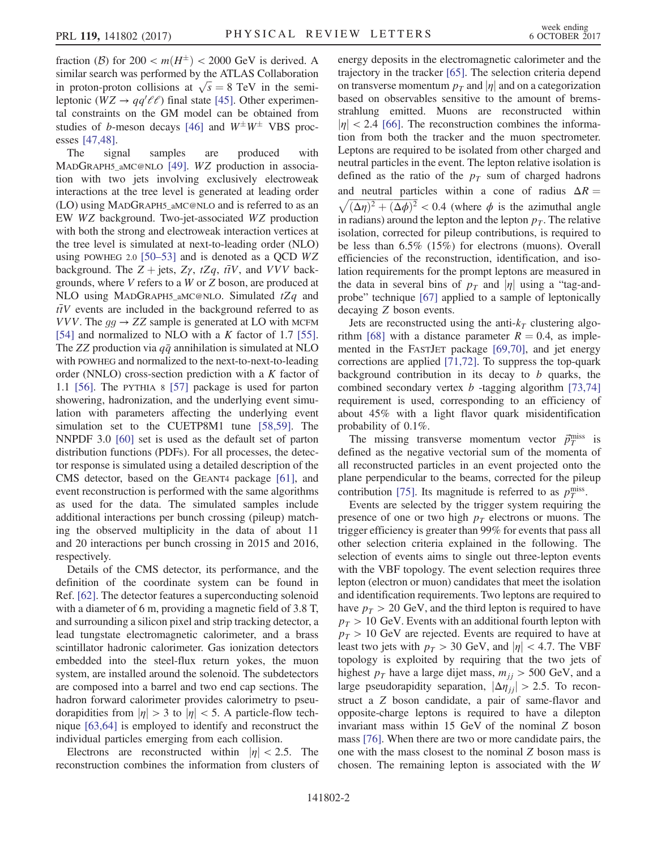fraction (B) for  $200 < m(H^{\pm}) < 2000$  GeV is derived. A similar search was performed by the ATI AS Collaboration similar search was performed by the ATLAS Collaboration in proton-proton collisions at  $\sqrt{s} = 8$  TeV in the semi-<br>leptonic  $(WZ \rightarrow aa'/t')$  final state [45]. Other experimenleptonic ( $WZ \rightarrow qq'\ell\ell$ ) final state [\[45\]](#page-5-10). Other experimental constraints on the GM model can be obtained from tal constraints on the GM model can be obtained from studies of *b*-meson decays [\[46\]](#page-5-11) and  $W^{\pm}W^{\pm}$  VBS proc-<br>esses [47.48] esses [\[47,48\]](#page-5-12).

The signal samples are produced with MADGRAPH5\_aMC@NLO [\[49\].](#page-5-13) WZ production in association with two jets involving exclusively electroweak interactions at the tree level is generated at leading order (LO) using MADGRAPH5\_aMC@NLO and is referred to as an EW WZ background. Two-jet-associated WZ production with both the strong and electroweak interaction vertices at the tree level is simulated at next-to-leading order (NLO) using POWHEG 2.0 [\[50](#page-5-14)–53] and is denoted as a QCD  $WZ$ background. The  $Z + \text{jets}$ ,  $Z\gamma$ ,  $tZq$ ,  $t\bar{t}V$ , and VVV backgrounds, where V refers to a W or Z boson, are produced at NLO using MADGRAPH5\_aMC@NLO. Simulated  $tZq$  and  $t\bar{t}V$  events are included in the background referred to as VVV. The  $qq \rightarrow ZZ$  sample is generated at LO with MCFM [\[54\]](#page-6-0) and normalized to NLO with a  $K$  factor of 1.7 [\[55\]](#page-6-1). The ZZ production via  $q\bar{q}$  annihilation is simulated at NLO with POWHEG and normalized to the next-to-next-to-leading order (NNLO) cross-section prediction with a  $K$  factor of 1.1 [\[56\].](#page-6-2) The PYTHIA 8 [\[57\]](#page-6-3) package is used for parton showering, hadronization, and the underlying event simulation with parameters affecting the underlying event simulation set to the CUETP8M1 tune [\[58,59\]](#page-6-4). The NNPDF 3.0 [\[60\]](#page-6-5) set is used as the default set of parton distribution functions (PDFs). For all processes, the detector response is simulated using a detailed description of the CMS detector, based on the GEANT4 package [\[61\],](#page-6-6) and event reconstruction is performed with the same algorithms as used for the data. The simulated samples include additional interactions per bunch crossing (pileup) matching the observed multiplicity in the data of about 11 and 20 interactions per bunch crossing in 2015 and 2016, respectively.

Details of the CMS detector, its performance, and the definition of the coordinate system can be found in Ref. [\[62\]](#page-6-7). The detector features a superconducting solenoid with a diameter of 6 m, providing a magnetic field of 3.8 T, and surrounding a silicon pixel and strip tracking detector, a lead tungstate electromagnetic calorimeter, and a brass scintillator hadronic calorimeter. Gas ionization detectors embedded into the steel-flux return yokes, the muon system, are installed around the solenoid. The subdetectors are composed into a barrel and two end cap sections. The hadron forward calorimeter provides calorimetry to pseudorapidities from  $|\eta| > 3$  to  $|\eta| < 5$ . A particle-flow technique [\[63,64\]](#page-6-8) is employed to identify and reconstruct the individual particles emerging from each collision.

Electrons are reconstructed within  $|\eta| < 2.5$ . The reconstruction combines the information from clusters of energy deposits in the electromagnetic calorimeter and the trajectory in the tracker [\[65\]](#page-6-9). The selection criteria depend on transverse momentum  $p_T$  and  $|\eta|$  and on a categorization based on observables sensitive to the amount of bremsstrahlung emitted. Muons are reconstructed within  $|\eta|$  < 2.4 [\[66\].](#page-6-10) The reconstruction combines the information from both the tracker and the muon spectrometer. Leptons are required to be isolated from other charged and neutral particles in the event. The lepton relative isolation is defined as the ratio of the  $p_T$  sum of charged hadrons<br>and neutral particles within a cone of radius  $\Delta R =$ and neutral particles within a cone of radius  $\Delta R = \sqrt{(\Delta \eta)^2 + (\Delta \phi)^2} < 0.4$  (where  $\phi$  is the azimuthal angle  $\sqrt{(\Delta \eta)^2 + (\Delta \phi)^2}$  < 0.4 (where  $\phi$  is the azimuthal angle<br>in radians) around the lenton and the lenton  $n_x$ . The relative in radians) around the lepton and the lepton  $p<sub>T</sub>$ . The relative isolation, corrected for pileup contributions, is required to be less than 6.5% (15%) for electrons (muons). Overall efficiencies of the reconstruction, identification, and isolation requirements for the prompt leptons are measured in the data in several bins of  $p<sub>T</sub>$  and  $|\eta|$  using a "tag-andprobe" technique [\[67\]](#page-6-11) applied to a sample of leptonically decaying Z boson events.

Jets are reconstructed using the anti- $k_T$  clustering algo-rithm [\[68\]](#page-6-12) with a distance parameter  $R = 0.4$ , as implemented in the FASTJET package [\[69,70\],](#page-6-13) and jet energy corrections are applied [\[71,72\]](#page-6-14). To suppress the top-quark background contribution in its decay to  $b$  quarks, the combined secondary vertex  $b$  -tagging algorithm [\[73,74\]](#page-6-15) requirement is used, corresponding to an efficiency of about 45% with a light flavor quark misidentification probability of 0.1%.

The missing transverse momentum vector  $\vec{p}_T^{\text{miss}}$  is<br>fined as the negative vectorial sum of the momenta of defined as the negative vectorial sum of the momenta of all reconstructed particles in an event projected onto the plane perpendicular to the beams, corrected for the pileup contribution [\[75\].](#page-6-16) Its magnitude is referred to as  $p_T^{\text{miss}}$ .<br>Events are selected by the trigger system requiring

Events are selected by the trigger system requiring the presence of one or two high  $p_T$  electrons or muons. The trigger efficiency is greater than 99% for events that pass all other selection criteria explained in the following. The selection of events aims to single out three-lepton events with the VBF topology. The event selection requires three lepton (electron or muon) candidates that meet the isolation and identification requirements. Two leptons are required to have  $p_T > 20$  GeV, and the third lepton is required to have  $p_T > 10$  GeV. Events with an additional fourth lepton with  $p_T > 10$  GeV are rejected. Events are required to have at least two jets with  $p_T > 30$  GeV, and  $|\eta| < 4.7$ . The VBF topology is exploited by requiring that the two jets of highest  $p_T$  have a large dijet mass,  $m_{jj} > 500$  GeV, and a large pseudorapidity separation,  $|\Delta \eta_{ij}| > 2.5$ . To reconstruct a Z boson candidate, a pair of same-flavor and opposite-charge leptons is required to have a dilepton invariant mass within 15 GeV of the nominal Z boson mass [\[76\].](#page-6-17) When there are two or more candidate pairs, the one with the mass closest to the nominal Z boson mass is chosen. The remaining lepton is associated with the W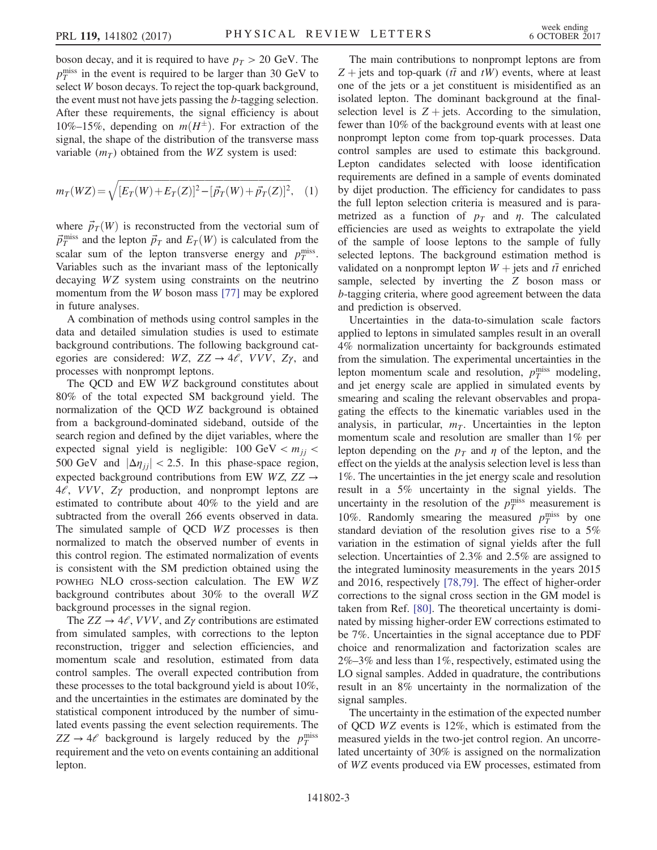boson decay, and it is required to have  $p_T > 20$  GeV. The  $p_T^{\text{miss}}$  in the event is required to be larger than 30 GeV to  $\epsilon$  and  $\epsilon$  is the top-quark background select W boson decays. To reject the top-quark background, the event must not have jets passing the b-tagging selection. After these requirements, the signal efficiency is about 10%–15%, depending on  $m(H^{\pm})$ . For extraction of the signal the shape of the distribution of the transverse mass signal, the shape of the distribution of the transverse mass variable  $(m_T)$  obtained from the WZ system is used:

$$
m_T(WZ) = \sqrt{[E_T(W) + E_T(Z)]^2 - [\vec{p}_T(W) + \vec{p}_T(Z)]^2}, \quad (1)
$$

where  $\vec{p}_T(\mathbf{W})$  is reconstructed from the vectorial sum of  $\vec{p}_T^{\text{miss}}$  and the lepton  $\vec{p}_T$  and  $E_T(W)$  is calculated from the scalar sum of the lepton transverse energy and pulses scalar sum of the lepton transverse energy and  $p_T^{\text{miss}}$ .<br>Variables such as the invariant mass of the leptonically Variables such as the invariant mass of the leptonically decaying WZ system using constraints on the neutrino momentum from the W boson mass [\[77\]](#page-6-18) may be explored in future analyses.

A combination of methods using control samples in the data and detailed simulation studies is used to estimate background contributions. The following background categories are considered:  $WZ$ ,  $ZZ \rightarrow 4\ell$ ,  $VVV$ ,  $Z\gamma$ , and processes with nonprompt leptons.

The QCD and EW WZ background constitutes about 80% of the total expected SM background yield. The normalization of the QCD WZ background is obtained from a background-dominated sideband, outside of the search region and defined by the dijet variables, where the expected signal yield is negligible:  $100 \text{ GeV} < m_{ij} <$ 500 GeV and  $|\Delta \eta_{ij}| < 2.5$ . In this phase-space region, expected background contributions from EW WZ,  $ZZ \rightarrow$  $4\ell$ , VVV,  $Z\gamma$  production, and nonprompt leptons are estimated to contribute about 40% to the yield and are subtracted from the overall 266 events observed in data. The simulated sample of QCD WZ processes is then normalized to match the observed number of events in this control region. The estimated normalization of events is consistent with the SM prediction obtained using the POWHEG NLO cross-section calculation. The EW WZ background contributes about 30% to the overall WZ background processes in the signal region.

The  $ZZ \rightarrow 4\ell$ , VVV, and  $Z\gamma$  contributions are estimated from simulated samples, with corrections to the lepton reconstruction, trigger and selection efficiencies, and momentum scale and resolution, estimated from data control samples. The overall expected contribution from these processes to the total background yield is about 10%, and the uncertainties in the estimates are dominated by the statistical component introduced by the number of simulated events passing the event selection requirements. The  $ZZ \rightarrow 4\ell$  background is largely reduced by the  $p_T^{\text{miss}}$ requirement and the veto on events containing an additional lepton.

The main contributions to nonprompt leptons are from  $Z$  + jets and top-quark ( $t\bar{t}$  and  $tW$ ) events, where at least one of the jets or a jet constituent is misidentified as an isolated lepton. The dominant background at the finalselection level is  $Z + \text{jets}$ . According to the simulation, fewer than 10% of the background events with at least one nonprompt lepton come from top-quark processes. Data control samples are used to estimate this background. Lepton candidates selected with loose identification requirements are defined in a sample of events dominated by dijet production. The efficiency for candidates to pass the full lepton selection criteria is measured and is parametrized as a function of  $p_T$  and  $\eta$ . The calculated efficiencies are used as weights to extrapolate the yield of the sample of loose leptons to the sample of fully selected leptons. The background estimation method is validated on a nonprompt lepton  $W +$  jets and  $t\bar{t}$  enriched sample, selected by inverting the Z boson mass or b-tagging criteria, where good agreement between the data and prediction is observed.

Uncertainties in the data-to-simulation scale factors applied to leptons in simulated samples result in an overall 4% normalization uncertainty for backgrounds estimated from the simulation. The experimental uncertainties in the lepton momentum scale and resolution,  $p_T^{\text{miss}}$  modeling, and jet energy scale are applied in simulated events by and jet energy scale are applied in simulated events by smearing and scaling the relevant observables and propagating the effects to the kinematic variables used in the analysis, in particular,  $m<sub>T</sub>$ . Uncertainties in the lepton momentum scale and resolution are smaller than 1% per lepton depending on the  $p_T$  and  $\eta$  of the lepton, and the effect on the yields at the analysis selection level is less than 1%. The uncertainties in the jet energy scale and resolution result in a 5% uncertainty in the signal yields. The uncertainty in the resolution of the  $p_T^{\text{miss}}$  measurement is<br>10%. Bandomly, smearing the measured p<sup>miss</sup> by one 10%. Randomly smearing the measured  $p_T^{\text{miss}}$  by one<br>standard deviation of the resolution gives rise to a 5% standard deviation of the resolution gives rise to a 5% variation in the estimation of signal yields after the full selection. Uncertainties of 2.3% and 2.5% are assigned to the integrated luminosity measurements in the years 2015 and 2016, respectively [\[78,79\]](#page-6-19). The effect of higher-order corrections to the signal cross section in the GM model is taken from Ref. [\[80\].](#page-6-20) The theoretical uncertainty is dominated by missing higher-order EW corrections estimated to be 7%. Uncertainties in the signal acceptance due to PDF choice and renormalization and factorization scales are 2%–3% and less than 1%, respectively, estimated using the LO signal samples. Added in quadrature, the contributions result in an 8% uncertainty in the normalization of the signal samples.

The uncertainty in the estimation of the expected number of QCD WZ events is 12%, which is estimated from the measured yields in the two-jet control region. An uncorrelated uncertainty of 30% is assigned on the normalization of WZ events produced via EW processes, estimated from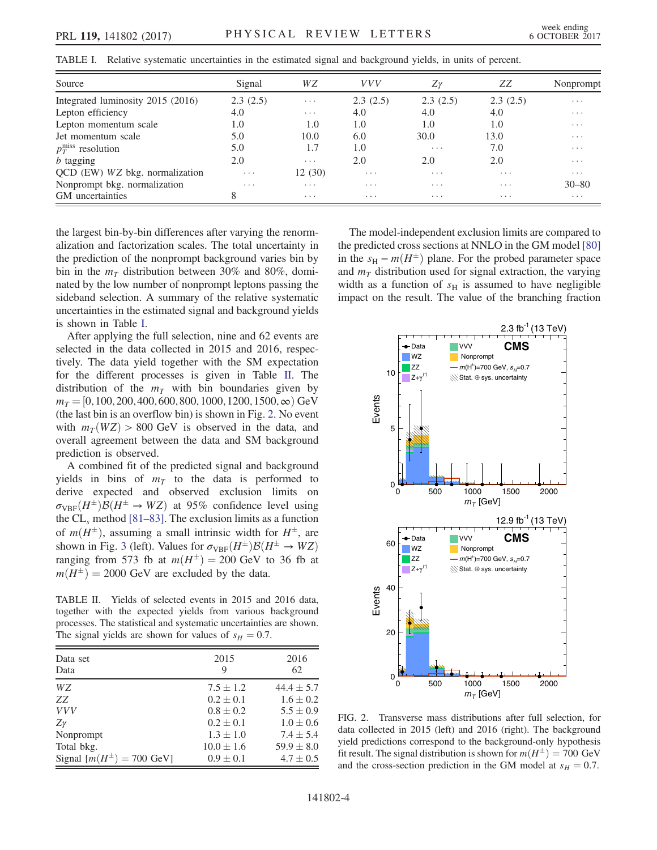<span id="page-3-0"></span>

|  | TABLE I. Relative systematic uncertainties in the estimated signal and background vields, in units of percent. |
|--|----------------------------------------------------------------------------------------------------------------|
|--|----------------------------------------------------------------------------------------------------------------|

| Source                            | Signal                  | WΖ                      | <i>VVV</i>              | $Z\gamma$               | ZZ                      | Nonprompt               |
|-----------------------------------|-------------------------|-------------------------|-------------------------|-------------------------|-------------------------|-------------------------|
| Integrated luminosity 2015 (2016) | 2.3(2.5)                | $\cdots$                | 2.3(2.5)                | 2.3(2.5)                | 2.3(2.5)                | $\cdots$                |
| Lepton efficiency                 | 4.0                     | $\cdots$                | 4.0                     | 4.0                     | 4.0                     | $\cdots$                |
| Lepton momentum scale             | 1.0                     | 1.0                     | 1.0                     | 1.0                     | 1.0                     | $\cdot$ $\cdot$ $\cdot$ |
| Jet momentum scale                | 5.0                     | 10.0                    | 6.0                     | 30.0                    | 13.0                    | $\cdot$ $\cdot$ $\cdot$ |
| $p_T^{\text{miss}}$ resolution    | 5.0                     | 1.7                     | 1.0                     | $\cdot$ $\cdot$ $\cdot$ | 7.0                     | $\cdots$                |
| $b$ tagging                       | 2.0                     | $\cdot$ $\cdot$ $\cdot$ | 2.0                     | 2.0                     | 2.0                     | $\cdot$ $\cdot$ $\cdot$ |
| QCD (EW) WZ bkg. normalization    | $\cdot$ $\cdot$ $\cdot$ | 12 (30)                 | $\cdot$ $\cdot$ $\cdot$ | $\cdot$ $\cdot$ $\cdot$ | $\cdots$                | $\cdots$                |
| Nonprompt bkg. normalization      | $\cdot$ $\cdot$ $\cdot$ | $\cdot$ $\cdot$ $\cdot$ | $\cdot$ $\cdot$ $\cdot$ | $\cdot$ $\cdot$ $\cdot$ | $\cdot$ $\cdot$ $\cdot$ | $30 - 80$               |
| GM uncertainties                  |                         | $\cdot$ $\cdot$ $\cdot$ | $\cdots$                | $\cdots$                | $\cdots$                | $\cdots$                |

the largest bin-by-bin differences after varying the renormalization and factorization scales. The total uncertainty in the prediction of the nonprompt background varies bin by bin in the  $m<sub>T</sub>$  distribution between 30% and 80%, dominated by the low number of nonprompt leptons passing the sideband selection. A summary of the relative systematic uncertainties in the estimated signal and background yields is shown in Table [I.](#page-3-0)

After applying the full selection, nine and 62 events are selected in the data collected in 2015 and 2016, respectively. The data yield together with the SM expectation for the different processes is given in Table [II.](#page-3-1) The distribution of the  $m<sub>T</sub>$  with bin boundaries given by  $m_T = [0, 100, 200, 400, 600, 800, 1000, 1200, 1500, \infty)$  GeV (the last bin is an overflow bin) is shown in Fig. [2.](#page-3-2) No event with  $m_T(WZ) > 800$  GeV is observed in the data, and overall agreement between the data and SM background prediction is observed.

A combined fit of the predicted signal and background yields in bins of  $m<sub>T</sub>$  to the data is performed to derive expected and observed exclusion limits on  $\sigma_{VBF}(H^{\pm})\mathcal{B}(H^{\pm} \to WZ)$  at 95% confidence level using<br>the CI method [81–83] The exclusion limits as a function the  $CL<sub>s</sub>$  method [\[81](#page-6-21)–83]. The exclusion limits as a function of  $m(H^{\pm})$ , assuming a small intrinsic width for  $H^{\pm}$ , are<br>shown in Fig. 3 (left). Values for  $\sigma_{\text{true}}(H^{\pm})B(H^{\pm} \rightarrow WZ)$ shown in Fig. [3](#page-4-2) (left). Values for  $\sigma_{VBF}(H^{\pm})\mathcal{B}(H^{\pm} \to WZ)$ <br>ranging from 573 fb at  $m(H^{\pm}) = 200$  GeV to 36 fb at ranging from 573 fb at  $m(H^{\pm}) = 200$  GeV to 36 fb at  $m(H^{\pm}) = 2000$  GeV are excluded by the data  $m(H^{\pm}) = 2000$  GeV are excluded by the data.

<span id="page-3-1"></span>TABLE II. Yields of selected events in 2015 and 2016 data, together with the expected yields from various background processes. The statistical and systematic uncertainties are shown. The signal yields are shown for values of  $s_H = 0.7$ .

| Data set<br>Data                        | 2015<br>9      | 2016<br>62     |
|-----------------------------------------|----------------|----------------|
| WZ.                                     | $7.5 \pm 1.2$  | $44.4 \pm 5.7$ |
| ZZ.                                     | $0.2 \pm 0.1$  | $1.6 \pm 0.2$  |
| <i>VVV</i>                              | $0.8 \pm 0.2$  | $5.5 \pm 0.9$  |
| Ζγ                                      | $0.2 \pm 0.1$  | $1.0 \pm 0.6$  |
| Nonprompt                               | $1.3 \pm 1.0$  | $7.4 + 5.4$    |
| Total bkg.                              | $10.0 \pm 1.6$ | $59.9 \pm 8.0$ |
| Signal $[m(H^{\pm}) = 700 \text{ GeV}]$ | $0.9 \pm 0.1$  | $4.7 \pm 0.5$  |
|                                         |                |                |

The model-independent exclusion limits are compared to the predicted cross sections at NNLO in the GM model [\[80\]](#page-6-20) in the  $s_H - m(H^{\pm})$  plane. For the probed parameter space<br>and  $m_{\infty}$  distribution used for signal extraction, the varying and  $m<sub>T</sub>$  distribution used for signal extraction, the varying width as a function of  $s_H$  is assumed to have negligible impact on the result. The value of the branching fraction

<span id="page-3-2"></span>

FIG. 2. Transverse mass distributions after full selection, for data collected in 2015 (left) and 2016 (right). The background yield predictions correspond to the background-only hypothesis fit result. The signal distribution is shown for  $m(H^{\pm}) = 700 \text{ GeV}$ <br>and the cross-section prediction in the GM model at  $s_{tt} = 0.7$ and the cross-section prediction in the GM model at  $s_H = 0.7$ .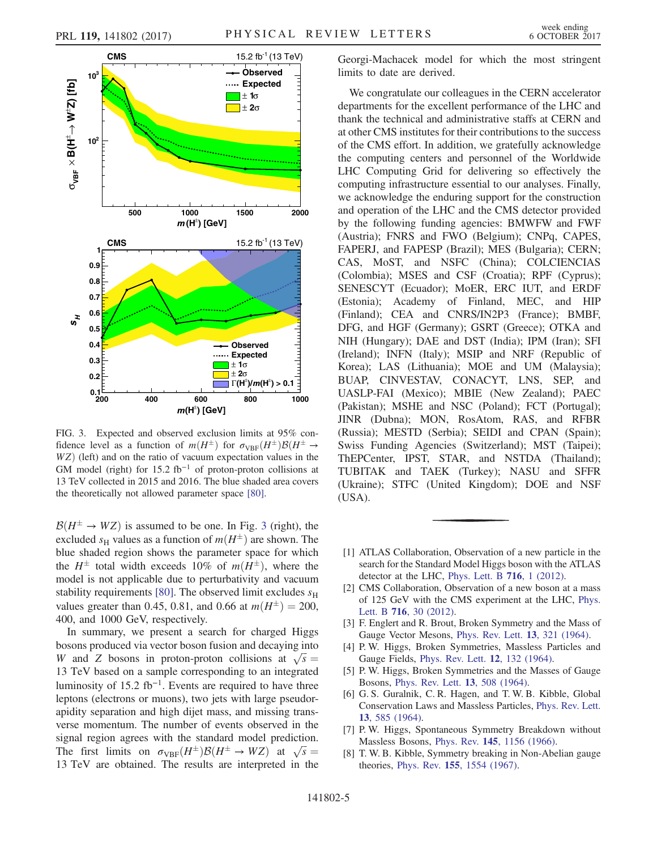<span id="page-4-2"></span>

FIG. 3. Expected and observed exclusion limits at 95% confidence level as a function of  $m(H^{\pm})$  for  $\sigma_{VBF}(H^{\pm})B(H^{\pm})$ <br>WZ) (left) and on the ratio of vacuum expectation values in the  $WZ$ ) (left) and on the ratio of vacuum expectation values in the GM model (right) for 15.2 fb<sup>-1</sup> of proton-proton collisions at 13 TeV collected in 2015 and 2016. The blue shaded area covers the theoretically not allowed parameter space [\[80\]](#page-6-20).

 $\mathcal{B}(H^{\pm} \to WZ)$  is assumed to be one. In Fig. [3](#page-4-2) (right), the excluded so values as a function of  $m(H^{\pm})$  are shown. The excluded  $s_H$  values as a function of  $m(H^{\pm})$  are shown. The blue shaded region shows the parameter space for which blue shaded region shows the parameter space for which the  $H^{\pm}$  total width exceeds 10% of  $m(H^{\pm})$ , where the model is not applicable due to perturbativity and vacuum model is not applicable due to perturbativity and vacuum stability requirements [\[80\].](#page-6-20) The observed limit excludes  $s_H$ values greater than 0.45, 0.81, and 0.66 at  $m(H^{\pm}) = 200$ ,<br>400, and 1000 GeV respectively 400, and 1000 GeV, respectively.

In summary, we present a search for charged Higgs bosons produced via vector boson fusion and decaying into W and Z bosons in proton-proton collisions at  $\sqrt{s}$  = 13 TeV based on a sample corresponding to an integrated 13 TeV based on a sample corresponding to an integrated luminosity of 15.2 fb<sup>-1</sup>. Events are required to have three leptons (electrons or muons), two jets with large pseudorapidity separation and high dijet mass, and missing transverse momentum. The number of events observed in the signal region agrees with the standard model prediction. The first limits on  $\sigma_{VBF}(H^{\pm})\mathcal{B}(H^{\pm} \to WZ)$  at  $\sqrt{s} =$ <br>13 TeV are obtained. The results are interpreted in the 13 TeV are obtained. The results are interpreted in the Georgi-Machacek model for which the most stringent limits to date are derived.

We congratulate our colleagues in the CERN accelerator departments for the excellent performance of the LHC and thank the technical and administrative staffs at CERN and at other CMS institutes for their contributions to the success of the CMS effort. In addition, we gratefully acknowledge the computing centers and personnel of the Worldwide LHC Computing Grid for delivering so effectively the computing infrastructure essential to our analyses. Finally, we acknowledge the enduring support for the construction and operation of the LHC and the CMS detector provided by the following funding agencies: BMWFW and FWF (Austria); FNRS and FWO (Belgium); CNPq, CAPES, FAPERJ, and FAPESP (Brazil); MES (Bulgaria); CERN; CAS, MoST, and NSFC (China); COLCIENCIAS (Colombia); MSES and CSF (Croatia); RPF (Cyprus); SENESCYT (Ecuador); MoER, ERC IUT, and ERDF (Estonia); Academy of Finland, MEC, and HIP (Finland); CEA and CNRS/IN2P3 (France); BMBF, DFG, and HGF (Germany); GSRT (Greece); OTKA and NIH (Hungary); DAE and DST (India); IPM (Iran); SFI (Ireland); INFN (Italy); MSIP and NRF (Republic of Korea); LAS (Lithuania); MOE and UM (Malaysia); BUAP, CINVESTAV, CONACYT, LNS, SEP, and UASLP-FAI (Mexico); MBIE (New Zealand); PAEC (Pakistan); MSHE and NSC (Poland); FCT (Portugal); JINR (Dubna); MON, RosAtom, RAS, and RFBR (Russia); MESTD (Serbia); SEIDI and CPAN (Spain); Swiss Funding Agencies (Switzerland); MST (Taipei); ThEPCenter, IPST, STAR, and NSTDA (Thailand); TUBITAK and TAEK (Turkey); NASU and SFFR (Ukraine); STFC (United Kingdom); DOE and NSF (USA).

- <span id="page-4-0"></span>[1] ATLAS Collaboration, Observation of a new particle in the search for the Standard Model Higgs boson with the ATLAS detector at the LHC, [Phys. Lett. B](https://doi.org/10.1016/j.physletb.2012.08.020) 716, 1 (2012).
- [2] CMS Collaboration, Observation of a new boson at a mass of 125 GeV with the CMS experiment at the LHC, [Phys.](https://doi.org/10.1016/j.physletb.2012.08.021) Lett. B 716[, 30 \(2012\)](https://doi.org/10.1016/j.physletb.2012.08.021).
- <span id="page-4-1"></span>[3] F. Englert and R. Brout, Broken Symmetry and the Mass of Gauge Vector Mesons, [Phys. Rev. Lett.](https://doi.org/10.1103/PhysRevLett.13.321) 13, 321 (1964).
- [4] P. W. Higgs, Broken Symmetries, Massless Particles and Gauge Fields, [Phys. Rev. Lett.](https://doi.org/10.1016/0031-9163(64)91136-9) 12, 132 (1964).
- [5] P. W. Higgs, Broken Symmetries and the Masses of Gauge Bosons, [Phys. Rev. Lett.](https://doi.org/10.1103/PhysRevLett.13.508) 13, 508 (1964).
- [6] G. S. Guralnik, C. R. Hagen, and T. W. B. Kibble, Global Conservation Laws and Massless Particles, [Phys. Rev. Lett.](https://doi.org/10.1103/PhysRevLett.13.585) 13[, 585 \(1964\).](https://doi.org/10.1103/PhysRevLett.13.585)
- [7] P. W. Higgs, Spontaneous Symmetry Breakdown without Massless Bosons, Phys. Rev. 145[, 1156 \(1966\)](https://doi.org/10.1103/PhysRev.145.1156).
- [8] T. W. B. Kibble, Symmetry breaking in Non-Abelian gauge theories, Phys. Rev. 155[, 1554 \(1967\).](https://doi.org/10.1103/PhysRev.155.1554)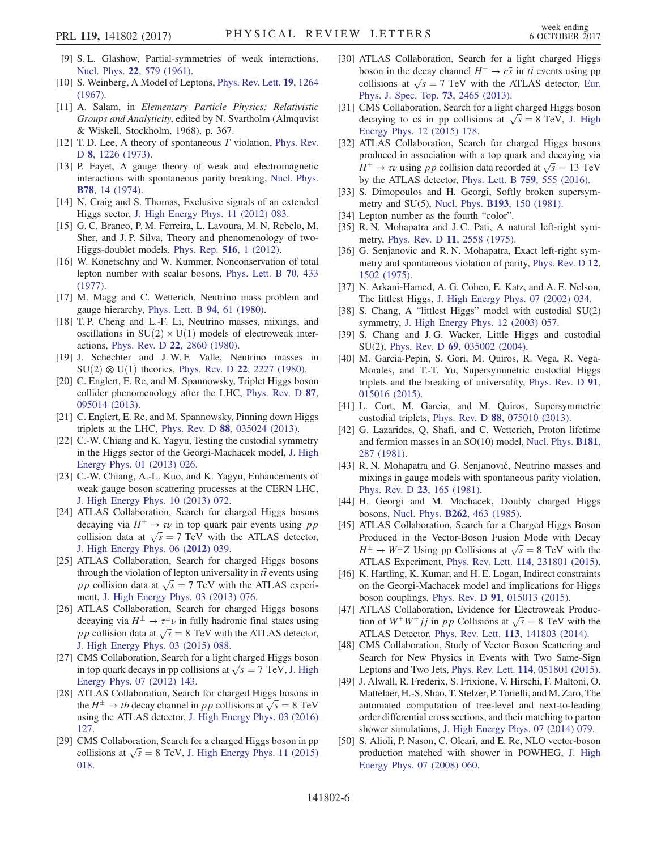- <span id="page-5-0"></span>[9] S. L. Glashow, Partial-symmetries of weak interactions, Nucl. Phys. 22[, 579 \(1961\).](https://doi.org/10.1016/0029-5582(61)90469-2)
- [10] S. Weinberg, A Model of Leptons, [Phys. Rev. Lett.](https://doi.org/10.1103/PhysRevLett.19.1264) 19, 1264 [\(1967\).](https://doi.org/10.1103/PhysRevLett.19.1264)
- [11] A. Salam, in Elementary Particle Physics: Relativistic Groups and Analyticity, edited by N. Svartholm (Almquvist & Wiskell, Stockholm, 1968), p. 367.
- <span id="page-5-1"></span>[12] T.D. Lee, A theory of spontaneous T violation, [Phys. Rev.](https://doi.org/10.1103/PhysRevD.8.1226) D 8[, 1226 \(1973\).](https://doi.org/10.1103/PhysRevD.8.1226)
- [13] P. Fayet, A gauge theory of weak and electromagnetic interactions with spontaneous parity breaking, [Nucl. Phys.](https://doi.org/10.1016/0550-3213(74)90113-8) B78[, 14 \(1974\)](https://doi.org/10.1016/0550-3213(74)90113-8).
- [14] N. Craig and S. Thomas, Exclusive signals of an extended Higgs sector, [J. High Energy Phys. 11 \(2012\) 083.](https://doi.org/10.1007/JHEP11(2012)083)
- [15] G. C. Branco, P. M. Ferreira, L. Lavoura, M. N. Rebelo, M. Sher, and J. P. Silva, Theory and phenomenology of two-Higgs-doublet models, [Phys. Rep.](https://doi.org/10.1016/j.physrep.2012.02.002) 516, 1 (2012).
- <span id="page-5-2"></span>[16] W. Konetschny and W. Kummer, Nonconservation of total lepton number with scalar bosons, [Phys. Lett. B](https://doi.org/10.1016/0370-2693(77)90407-5) 70, 433 [\(1977\).](https://doi.org/10.1016/0370-2693(77)90407-5)
- <span id="page-5-8"></span>[17] M. Magg and C. Wetterich, Neutrino mass problem and gauge hierarchy, [Phys. Lett. B](https://doi.org/10.1016/0370-2693(80)90825-4) 94, 61 (1980).
- [18] T.P. Cheng and L.-F. Li, Neutrino masses, mixings, and oscillations in  $SU(2) \times U(1)$  models of electroweak interactions, Phys. Rev. D 22[, 2860 \(1980\)](https://doi.org/10.1103/PhysRevD.22.2860).
- [19] J. Schechter and J.W.F. Valle, Neutrino masses in  $SU(2) \otimes U(1)$  theories, Phys. Rev. D 22[, 2227 \(1980\).](https://doi.org/10.1103/PhysRevD.22.2227)
- [20] C. Englert, E. Re, and M. Spannowsky, Triplet Higgs boson collider phenomenology after the LHC, [Phys. Rev. D](https://doi.org/10.1103/PhysRevD.87.095014) 87, [095014 \(2013\).](https://doi.org/10.1103/PhysRevD.87.095014)
- [21] C. Englert, E. Re, and M. Spannowsky, Pinning down Higgs triplets at the LHC, Phys. Rev. D 88[, 035024 \(2013\)](https://doi.org/10.1103/PhysRevD.88.035024).
- [22] C.-W. Chiang and K. Yagyu, Testing the custodial symmetry in the Higgs sector of the Georgi-Machacek model, [J. High](https://doi.org/10.1007/JHEP01(2013)026) [Energy Phys. 01 \(2013\) 026.](https://doi.org/10.1007/JHEP01(2013)026)
- [23] C.-W. Chiang, A.-L. Kuo, and K. Yagyu, Enhancements of weak gauge boson scattering processes at the CERN LHC, [J. High Energy Phys. 10 \(2013\) 072.](https://doi.org/10.1007/JHEP10(2013)072)
- <span id="page-5-3"></span>[24] ATLAS Collaboration, Search for charged Higgs bosons decaying via  $H^+ \rightarrow \tau \nu$  in top quark pair events using pp collision data at  $\sqrt{s} = 7$  TeV with the ATLAS detector,<br>I High Energy Phys 06 (2012) 039 [J. High Energy Phys. 06 \(](https://doi.org/10.1007/JHEP06(2012)039)2012) 039.
- [25] ATLAS Collaboration, Search for charged Higgs bosons through the violation of lepton universality in  $t\bar{t}$  events using pp collision data at  $\sqrt{s}$  = 7 TeV with the ATLAS experi-<br>ment I High Energy Phys 03 (2013) 076 ment, [J. High Energy Phys. 03 \(2013\) 076.](https://doi.org/10.1007/JHEP03(2013)076)
- [26] ATLAS Collaboration, Search for charged Higgs bosons decaying via  $H^{\pm} \rightarrow \tau^{\pm} \nu$  in fully hadronic final states using<br>n n collision data at  $\sqrt{s} = 8$  TeV with the ATLAS detector p p collision data at  $\sqrt{s} = 8$  TeV with the ATLAS detector,<br>I High Energy Phys 03 (2015) 088 [J. High Energy Phys. 03 \(2015\) 088.](https://doi.org/10.1007/JHEP03(2015)088)
- [27] CMS Collaboration, Search for a light charged Higgs boson in top quark decays in pp collisions at  $\sqrt{s} = 7$  TeV, [J. High](https://doi.org/10.1007/JHEP07(2012)143) [Energy Phys. 07 \(2012\) 143.](https://doi.org/10.1007/JHEP07(2012)143)
- [28] ATLAS Collaboration, Search for charged Higgs bosons in the  $H^{\pm} \rightarrow tb$  decay channel in pp collisions at  $\sqrt{s} = 8$  TeV<br>using the ATI AS detector I High Energy Phys. 03.(2016) using the ATLAS detector, [J. High Energy Phys. 03 \(2016\)](https://doi.org/10.1007/JHEP03(2016)127) [127.](https://doi.org/10.1007/JHEP03(2016)127)
- [29] CMS Collaboration, Search for a charged Higgs boson in pp collisions at  $\sqrt{s} = 8$  TeV, [J. High Energy Phys. 11 \(2015\)](https://doi.org/10.1007/JHEP11(2015)018) [018.](https://doi.org/10.1007/JHEP11(2015)018)
- [30] ATLAS Collaboration, Search for a light charged Higgs boson in the decay channel  $H^+ \rightarrow c\bar{s}$  in  $t\bar{t}$  events using pp collisions at  $\sqrt{s}$  = 7 TeV with the ATLAS detector, [Eur.](https://doi.org/10.1140/epjc/s10052-013-2465-z) [Phys. J. Spec. Top.](https://doi.org/10.1140/epjc/s10052-013-2465-z) 73, 2465 (2013).
- [31] CMS Collaboration, Search for a light charged Higgs boson decaying to cs in pp collisions at  $\sqrt{s} = 8 \text{ TeV}$ , [J. High](https://doi.org/10.1007/JHEP12(2015)178) Fineray Phys. 12 (2015) 178 [Energy Phys. 12 \(2015\) 178.](https://doi.org/10.1007/JHEP12(2015)178)
- [32] ATLAS Collaboration, Search for charged Higgs bosons produced in association with a top quark and decaying via  $H^{\pm} \rightarrow \tau \nu$  using pp collision data recorded at  $\sqrt{s} = 13$  TeV<br>by the ATI AS detector. Phys. Lett. B. 759, 555 (2016) by the ATLAS detector, [Phys. Lett. B](https://doi.org/10.1016/j.physletb.2016.06.017) 759, 555 (2016).
- <span id="page-5-4"></span>[33] S. Dimopoulos and H. Georgi, Softly broken supersymmetry and SU(5), Nucl. Phys. B193[, 150 \(1981\).](https://doi.org/10.1016/0550-3213(81)90522-8)
- <span id="page-5-5"></span>[34] Lepton number as the fourth "color".
- [35] R. N. Mohapatra and J. C. Pati, A natural left-right symmetry, Phys. Rev. D 11[, 2558 \(1975\).](https://doi.org/10.1103/PhysRevD.11.2558)
- [36] G. Senjanovic and R. N. Mohapatra, Exact left-right symmetry and spontaneous violation of parity, [Phys. Rev. D](https://doi.org/10.1103/PhysRevD.12.1502) 12, [1502 \(1975\)](https://doi.org/10.1103/PhysRevD.12.1502).
- <span id="page-5-6"></span>[37] N. Arkani-Hamed, A. G. Cohen, E. Katz, and A. E. Nelson, The littlest Higgs, [J. High Energy Phys. 07 \(2002\) 034.](https://doi.org/10.1088/1126-6708/2002/07/034)
- [38] S. Chang, A "littlest Higgs" model with custodial SU(2) symmetry, [J. High Energy Phys. 12 \(2003\) 057.](https://doi.org/10.1088/1126-6708/2003/12/057)
- [39] S. Chang and J. G. Wacker, Little Higgs and custodial SU(2), Phys. Rev. D 69[, 035002 \(2004\)](https://doi.org/10.1103/PhysRevD.69.035002).
- <span id="page-5-7"></span>[40] M. Garcia-Pepin, S. Gori, M. Quiros, R. Vega, R. Vega-Morales, and T.-T. Yu, Supersymmetric custodial Higgs triplets and the breaking of universality, [Phys. Rev. D](https://doi.org/10.1103/PhysRevD.91.015016) 91, [015016 \(2015\).](https://doi.org/10.1103/PhysRevD.91.015016)
- [41] L. Cort, M. Garcia, and M. Quiros, Supersymmetric custodial triplets, Phys. Rev. D 88[, 075010 \(2013\)](https://doi.org/10.1103/PhysRevD.88.075010).
- [42] G. Lazarides, Q. Shafi, and C. Wetterich, Proton lifetime and fermion masses in an SO(10) model, [Nucl. Phys.](https://doi.org/10.1016/0550-3213(81)90354-0) B181, [287 \(1981\)](https://doi.org/10.1016/0550-3213(81)90354-0).
- [43] R. N. Mohapatra and G. Senjanović, Neutrino masses and mixings in gauge models with spontaneous parity violation, [Phys. Rev. D](https://doi.org/10.1103/PhysRevD.23.165) 23, 165 (1981).
- <span id="page-5-9"></span>[44] H. Georgi and M. Machacek, Doubly charged Higgs bosons, Nucl. Phys. B262[, 463 \(1985\)](https://doi.org/10.1016/0550-3213(85)90325-6).
- <span id="page-5-10"></span>[45] ATLAS Collaboration, Search for a Charged Higgs Boson Produced in the Vector-Boson Fusion Mode with Decay  $H^{\pm} \rightarrow W^{\pm}Z$  Using pp Collisions at  $\sqrt{s} = 8$  TeV with the ATI AS Experiment. Phys. Rev. Lett. 114, 231801 (2015) ATLAS Experiment, Phys. Rev. Lett. 114[, 231801 \(2015\).](https://doi.org/10.1103/PhysRevLett.114.231801)
- <span id="page-5-11"></span>[46] K. Hartling, K. Kumar, and H. E. Logan, Indirect constraints on the Georgi-Machacek model and implications for Higgs boson couplings, Phys. Rev. D 91[, 015013 \(2015\).](https://doi.org/10.1103/PhysRevD.91.015013)
- <span id="page-5-12"></span>[47] ATLAS Collaboration, Evidence for Electroweak Production of  $W^{\pm}W^{\pm}jj$  in pp Collisions at  $\sqrt{s} = 8$  TeV with the ATI AS Detector Phys. Rev. Lett. 113, 141803 (2014) ATLAS Detector, Phys. Rev. Lett. 113[, 141803 \(2014\)](https://doi.org/10.1103/PhysRevLett.113.141803).
- [48] CMS Collaboration, Study of Vector Boson Scattering and Search for New Physics in Events with Two Same-Sign Leptons and Two Jets, Phys. Rev. Lett. 114[, 051801 \(2015\).](https://doi.org/10.1103/PhysRevLett.114.051801)
- <span id="page-5-13"></span>[49] J. Alwall, R. Frederix, S. Frixione, V. Hirschi, F. Maltoni, O. Mattelaer, H.-S. Shao, T. Stelzer, P. Torielli, and M. Zaro, The automated computation of tree-level and next-to-leading order differential cross sections, and their matching to parton shower simulations, [J. High Energy Phys. 07 \(2014\) 079.](https://doi.org/10.1007/JHEP07(2014)079)
- <span id="page-5-14"></span>[50] S. Alioli, P. Nason, C. Oleari, and E. Re, NLO vector-boson production matched with shower in POWHEG, [J. High](https://doi.org/10.1088/1126-6708/2008/07/060) [Energy Phys. 07 \(2008\) 060.](https://doi.org/10.1088/1126-6708/2008/07/060)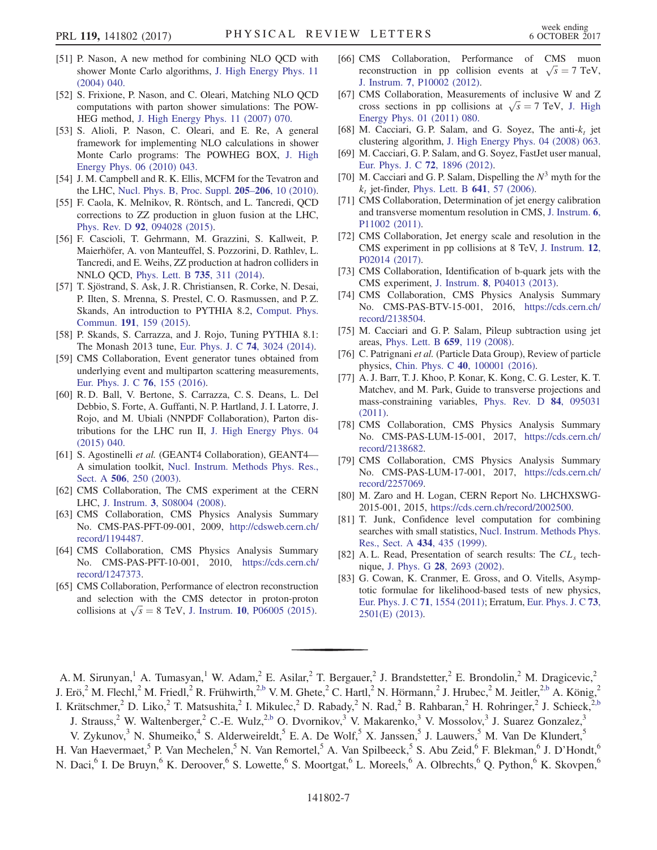- [51] P. Nason, A new method for combining NLO QCD with shower Monte Carlo algorithms, [J. High Energy Phys. 11](https://doi.org/10.1088/1126-6708/2004/11/040) [\(2004\) 040.](https://doi.org/10.1088/1126-6708/2004/11/040)
- [52] S. Frixione, P. Nason, and C. Oleari, Matching NLO QCD computations with parton shower simulations: The POW-HEG method, [J. High Energy Phys. 11 \(2007\) 070.](https://doi.org/10.1088/1126-6708/2007/11/070)
- [53] S. Alioli, P. Nason, C. Oleari, and E. Re, A general framework for implementing NLO calculations in shower Monte Carlo programs: The POWHEG BOX, [J. High](https://doi.org/10.1007/JHEP06(2010)043) [Energy Phys. 06 \(2010\) 043.](https://doi.org/10.1007/JHEP06(2010)043)
- <span id="page-6-0"></span>[54] J. M. Campbell and R. K. Ellis, MCFM for the Tevatron and the LHC, [Nucl. Phys. B, Proc. Suppl.](https://doi.org/10.1016/j.nuclphysbps.2010.08.011) 205–206, 10 (2010).
- <span id="page-6-1"></span>[55] F. Caola, K. Melnikov, R. Röntsch, and L. Tancredi, QCD corrections to ZZ production in gluon fusion at the LHC, Phys. Rev. D 92[, 094028 \(2015\)](https://doi.org/10.1103/PhysRevD.92.094028).
- <span id="page-6-2"></span>[56] F. Cascioli, T. Gehrmann, M. Grazzini, S. Kallweit, P. Maierhöfer, A. von Manteuffel, S. Pozzorini, D. Rathlev, L. Tancredi, and E. Weihs, ZZ production at hadron colliders in NNLO QCD, [Phys. Lett. B](https://doi.org/10.1016/j.physletb.2014.06.056) 735, 311 (2014).
- <span id="page-6-3"></span>[57] T. Sjöstrand, S. Ask, J. R. Christiansen, R. Corke, N. Desai, P. Ilten, S. Mrenna, S. Prestel, C. O. Rasmussen, and P. Z. Skands, An introduction to PYTHIA 8.2, [Comput. Phys.](https://doi.org/10.1016/j.cpc.2015.01.024) Commun. 191[, 159 \(2015\)](https://doi.org/10.1016/j.cpc.2015.01.024).
- <span id="page-6-4"></span>[58] P. Skands, S. Carrazza, and J. Rojo, Tuning PYTHIA 8.1: The Monash 2013 tune, [Eur. Phys. J. C](https://doi.org/10.1140/epjc/s10052-014-3024-y) 74, 3024 (2014).
- [59] CMS Collaboration, Event generator tunes obtained from underlying event and multiparton scattering measurements, [Eur. Phys. J. C](https://doi.org/10.1140/epjc/s10052-016-3988-x) 76, 155 (2016).
- <span id="page-6-5"></span>[60] R. D. Ball, V. Bertone, S. Carrazza, C. S. Deans, L. Del Debbio, S. Forte, A. Guffanti, N. P. Hartland, J. I. Latorre, J. Rojo, and M. Ubiali (NNPDF Collaboration), Parton distributions for the LHC run II, [J. High Energy Phys. 04](https://doi.org/10.1007/JHEP04(2015)040) [\(2015\) 040.](https://doi.org/10.1007/JHEP04(2015)040)
- <span id="page-6-6"></span>[61] S. Agostinelli et al. (GEANT4 Collaboration), GEANT4— A simulation toolkit, [Nucl. Instrum. Methods Phys. Res.,](https://doi.org/10.1016/S0168-9002(03)01368-8) Sect. A 506[, 250 \(2003\)](https://doi.org/10.1016/S0168-9002(03)01368-8).
- <span id="page-6-7"></span>[62] CMS Collaboration, The CMS experiment at the CERN LHC, J. Instrum. 3[, S08004 \(2008\).](https://doi.org/10.1088/1748-0221/3/08/S08004)
- <span id="page-6-8"></span>[63] CMS Collaboration, CMS Physics Analysis Summary No. CMS-PAS-PFT-09-001, 2009, [http://cdsweb.cern.ch/](http://cdsweb.cern.ch/record/1194487) [record/1194487.](http://cdsweb.cern.ch/record/1194487)
- [64] CMS Collaboration, CMS Physics Analysis Summary No. CMS-PAS-PFT-10-001, 2010, [https://cds.cern.ch/](https://cds.cern.ch/record/1247373) [record/1247373.](https://cds.cern.ch/record/1247373)
- <span id="page-6-9"></span>[65] CMS Collaboration, Performance of electron reconstruction and selection with the CMS detector in proton-proton collisions at  $\sqrt{s} = 8$  TeV, J. Instrum. 10[, P06005 \(2015\)](https://doi.org/10.1088/1748-0221/10/06/P06005).
- <span id="page-6-10"></span>[66] CMS Collaboration, Performance of CMS muon reconstruction in pp collision events at  $\sqrt{s} = 7$  TeV,<br>I Instrum 7 P10002 (2012) J. Instrum. 7[, P10002 \(2012\)](https://doi.org/10.1088/1748-0221/7/10/P10002).
- <span id="page-6-11"></span>[67] CMS Collaboration, Measurements of inclusive W and Z cross sections in pp collisions at  $\sqrt{s} = 7$  TeV, [J. High](https://doi.org/10.1007/JHEP01(2011)080)<br>Energy Phys 01 (2011) 080 [Energy Phys. 01 \(2011\) 080.](https://doi.org/10.1007/JHEP01(2011)080)
- <span id="page-6-12"></span>[68] M. Cacciari, G. P. Salam, and G. Soyez, The anti- $k_t$  jet clustering algorithm, [J. High Energy Phys. 04 \(2008\) 063.](https://doi.org/10.1088/1126-6708/2008/04/063)
- <span id="page-6-13"></span>[69] M. Cacciari, G. P. Salam, and G. Soyez, FastJet user manual, [Eur. Phys. J. C](https://doi.org/10.1140/epjc/s10052-012-1896-2) 72, 1896 (2012).
- [70] M. Cacciari and G. P. Salam, Dispelling the  $N^3$  myth for the  $k_t$  jet-finder, [Phys. Lett. B](https://doi.org/10.1016/j.physletb.2006.08.037) 641, 57 (2006).
- <span id="page-6-14"></span>[71] CMS Collaboration, Determination of jet energy calibration and transverse momentum resolution in CMS, [J. Instrum.](https://doi.org/10.1088/1748-0221/6/11/P11002) 6, [P11002 \(2011\)](https://doi.org/10.1088/1748-0221/6/11/P11002).
- [72] CMS Collaboration, Jet energy scale and resolution in the CMS experiment in pp collisions at 8 TeV, [J. Instrum.](https://doi.org/10.1088/1748-0221/12/02/P02014) 12, [P02014 \(2017\)](https://doi.org/10.1088/1748-0221/12/02/P02014).
- <span id="page-6-15"></span>[73] CMS Collaboration, Identification of b-quark jets with the CMS experiment, J. Instrum. 8[, P04013 \(2013\)](https://doi.org/10.1088/1748-0221/8/04/P04013).
- [74] CMS Collaboration, CMS Physics Analysis Summary No. CMS-PAS-BTV-15-001, 2016, [https://cds.cern.ch/](https://cds.cern.ch/record/2138504) [record/2138504.](https://cds.cern.ch/record/2138504)
- <span id="page-6-16"></span>[75] M. Cacciari and G. P. Salam, Pileup subtraction using jet areas, [Phys. Lett. B](https://doi.org/10.1016/j.physletb.2007.09.077) 659, 119 (2008).
- <span id="page-6-17"></span>[76] C. Patrignani et al. (Particle Data Group), Review of particle physics, Chin. Phys. C 40[, 100001 \(2016\).](https://doi.org/10.1088/1674-1137/40/10/100001)
- <span id="page-6-18"></span>[77] A. J. Barr, T. J. Khoo, P. Konar, K. Kong, C. G. Lester, K. T. Matchev, and M. Park, Guide to transverse projections and mass-constraining variables, [Phys. Rev. D](https://doi.org/10.1103/PhysRevD.84.095031) 84, 095031 [\(2011\).](https://doi.org/10.1103/PhysRevD.84.095031)
- <span id="page-6-19"></span>[78] CMS Collaboration, CMS Physics Analysis Summary No. CMS-PAS-LUM-15-001, 2017, [https://cds.cern.ch/](https://cds.cern.ch/record/2138682) [record/2138682.](https://cds.cern.ch/record/2138682)
- [79] CMS Collaboration, CMS Physics Analysis Summary No. CMS-PAS-LUM-17-001, 2017, [https://cds.cern.ch/](https://cds.cern.ch/record/2257069) [record/2257069.](https://cds.cern.ch/record/2257069)
- <span id="page-6-20"></span>[80] M. Zaro and H. Logan, CERN Report No. LHCHXSWG-2015-001, 2015, <https://cds.cern.ch/record/2002500>.
- <span id="page-6-21"></span>[81] T. Junk, Confidence level computation for combining searches with small statistics, [Nucl. Instrum. Methods Phys.](https://doi.org/10.1016/S0168-9002(99)00498-2) [Res., Sect. A](https://doi.org/10.1016/S0168-9002(99)00498-2) 434, 435 (1999).
- [82] A. L. Read, Presentation of search results: The  $CL<sub>s</sub>$  technique, J. Phys. G 28[, 2693 \(2002\).](https://doi.org/10.1088/0954-3899/28/10/313)
- [83] G. Cowan, K. Cranmer, E. Gross, and O. Vitells, Asymptotic formulae for likelihood-based tests of new physics, [Eur. Phys. J. C](https://doi.org/10.1140/epjc/s10052-011-1554-0) 71, 1554 (2011); Erratum, [Eur. Phys. J. C](https://doi.org/10.1140/epjc/s10052-013-2501-z) 73, [2501\(E\) \(2013\)](https://doi.org/10.1140/epjc/s10052-013-2501-z).

A. M. Sirunyan,<sup>1</sup> A. Tumasyan,<sup>1</sup> W. Adam,<sup>2</sup> E. Asilar,<sup>2</sup> T. Bergauer,<sup>2</sup> J. Brandstetter,<sup>2</sup> E. Brondolin,<sup>2</sup> M. Dragicevic,<sup>2</sup> J. Erö,<sup>2</sup> M. Flechl,<sup>2</sup> M. Friedl,<sup>2</sup> R. Frühwirth,<sup>[2,b](#page-16-0)</sup> V. M. Ghete,<sup>2</sup> C. Hartl,<sup>2</sup> N. Hörmann,<sup>2</sup> J. Hrubec,<sup>2</sup> M. Jeitler,<sup>2[,b](#page-16-0)</sup> A. König,<sup>2</sup> I. Krätschmer,<sup>2</sup> D. Liko,<sup>2</sup> T. Matsushita,<sup>2</sup> I. Mikulec,<sup>2</sup> D. Rabady,<sup>2</sup> N. Rad,<sup>2</sup> B. Rahbaran,<sup>2</sup> H. Rohringer,<sup>2</sup> J. Schieck,<sup>2[,b](#page-16-0)</sup>

<span id="page-6-22"></span>J. Strauss,<sup>2</sup> W. Waltenberger,<sup>2</sup> C.-E. Wulz,<sup>2[,b](#page-16-0)</sup> O. Dvornikov,<sup>3</sup> V. Makarenko,<sup>3</sup> V. Mossolov,<sup>3</sup> J. Suarez Gonzalez,<sup>3</sup>

V. Zykunov,<sup>3</sup> N. Shumeiko,<sup>4</sup> S. Alderweireldt,<sup>5</sup> E. A. De Wolf,<sup>5</sup> X. Janssen,<sup>5</sup> J. Lauwers,<sup>5</sup> M. Van De Klundert,<sup>5</sup>

H. Van Haevermaet,<sup>5</sup> P. Van Mechelen,<sup>5</sup> N. Van Remortel,<sup>5</sup> A. Van Spilbeeck,<sup>5</sup> S. Abu Zeid,<sup>6</sup> F. Blekman,<sup>6</sup> J. D'Hondt,<sup>6</sup> N. Daci,<sup>6</sup> I. De Bruyn,<sup>6</sup> K. Deroover,<sup>6</sup> S. Lowette,<sup>6</sup> S. Moortgat,<sup>6</sup> L. Moreels,<sup>6</sup> A. Olbrechts,<sup>6</sup> Q. Python,<sup>6</sup> K. Skovpen,<sup>6</sup>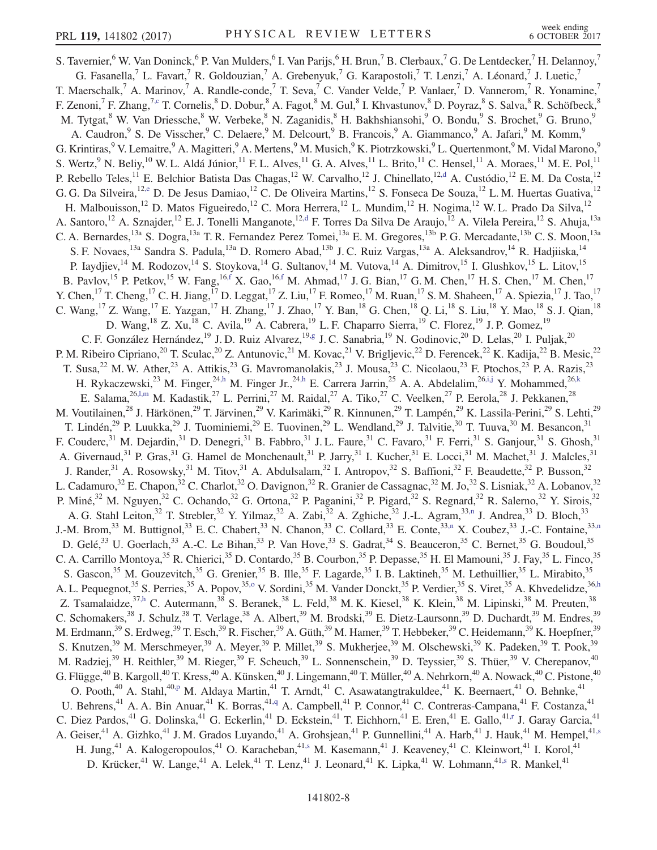<span id="page-7-13"></span><span id="page-7-12"></span><span id="page-7-11"></span><span id="page-7-10"></span><span id="page-7-9"></span><span id="page-7-8"></span><span id="page-7-7"></span><span id="page-7-6"></span><span id="page-7-5"></span><span id="page-7-4"></span><span id="page-7-3"></span><span id="page-7-2"></span><span id="page-7-1"></span><span id="page-7-0"></span>S. Tavernier,<sup>6</sup> W. Van Doninck,<sup>6</sup> P. Van Mulders,<sup>6</sup> I. Van Parijs,<sup>6</sup> H. Brun,<sup>7</sup> B. Clerbaux,<sup>7</sup> G. De Lentdecker,<sup>7</sup> H. Delannoy,<sup>7</sup> G. Fasanella,<sup>7</sup> L. Favart,<sup>7</sup> R. Goldouzian,<sup>7</sup> A. Grebenyuk,<sup>7</sup> G. Karapostoli,<sup>7</sup> T. Lenzi,<sup>7</sup> A. Léonard,<sup>7</sup> J. Luetic,<sup>7</sup> T. Maerschalk,<sup>7</sup> A. Marinov,<sup>7</sup> A. Randle-conde,<sup>7</sup> T. Seva,<sup>7</sup> C. Vander Velde,<sup>7</sup> P. Vanlaer,<sup>7</sup> D. Vannerom,<sup>7</sup> R. Yonamine,<sup>7</sup> F. Zenoni, <sup>7</sup> F. Zhang, <sup>7[,c](#page-16-1)</sup> T. Cornelis, <sup>8</sup> D. Dobur, <sup>8</sup> A. Fagot, <sup>8</sup> M. Gul, <sup>8</sup> I. Khvastunov, <sup>8</sup> D. Poyraz, <sup>8</sup> S. Salva, <sup>8</sup> R. Schöfbeck, <sup>8</sup> M. Tytgat,<sup>8</sup> W. Van Driessche,<sup>8</sup> W. Verbeke,<sup>8</sup> N. Zaganidis,<sup>8</sup> H. Bakhshiansohi,<sup>9</sup> O. Bondu,<sup>9</sup> S. Brochet,<sup>9</sup> G. Bruno,<sup>9</sup> A. Caudron,<sup>9</sup> S. De Visscher,<sup>9</sup> C. Delaere,<sup>9</sup> M. Delcourt,<sup>9</sup> B. Francois,<sup>9</sup> A. Giammanco,<sup>9</sup> A. Jafari,<sup>9</sup> M. Komm,<sup>9</sup> G. Krintiras,<sup>9</sup> V. Lemaitre,<sup>9</sup> A. Magitteri,<sup>9</sup> A. Mertens,<sup>9</sup> M. Musich,<sup>9</sup> K. Piotrzkowski,<sup>9</sup> L. Quertenmont,<sup>9</sup> M. Vidal Marono,<sup>9</sup> S. Wertz, <sup>9</sup> N. Beliy, <sup>10</sup> W. L. Aldá Júnior, <sup>11</sup> F. L. Alves, <sup>11</sup> G. A. Alves, <sup>11</sup> L. Brito, <sup>11</sup> C. Hensel, <sup>11</sup> A. Moraes, <sup>11</sup> M. E. Pol, <sup>11</sup> P. Rebello Teles,<sup>11</sup> E. Belchior Batista Das Chagas,<sup>12</sup> W. Carvalho,<sup>12</sup> J. Chinellato,<sup>12[,d](#page-16-2)</sup> A. Custódio,<sup>12</sup> E. M. Da Costa,<sup>12</sup> G. G. Da Silveira,<sup>12[,e](#page-16-3)</sup> D. De Jesus Damiao,<sup>12</sup> C. De Oliveira Martins,<sup>12</sup> S. Fonseca De Souza,<sup>12</sup> L. M. Huertas Guativa,<sup>12</sup> H. Malbouisson,<sup>12</sup> D. Matos Figueiredo,<sup>12</sup> C. Mora Herrera,<sup>12</sup> L. Mundim,<sup>12</sup> H. Nogima,<sup>12</sup> W. L. Prado Da Silva,<sup>12</sup> A. Santoro,<sup>12</sup> A. Sznajder,<sup>12</sup> E. J. Tonelli Manganote,<sup>1[2,d](#page-16-2)</sup> F. Torres Da Silva De Araujo,<sup>12</sup> A. Vilela Pereira,<sup>12</sup> S. Ahuja,<sup>13a</sup> C. A. Bernardes,<sup>13a</sup> S. Dogra,<sup>13a</sup> T. R. Fernandez Perez Tomei,<sup>13a</sup> E. M. Gregores,<sup>13b</sup> P. G. Mercadante,<sup>13b</sup> C. S. Moon,<sup>13a</sup> S. F. Novaes,<sup>13a</sup> Sandra S. Padula,<sup>13a</sup> D. Romero Abad,<sup>13b</sup> J. C. Ruiz Vargas,<sup>13a</sup> A. Aleksandrov,<sup>14</sup> R. Hadjiiska,<sup>14</sup> P. Iaydjiev,<sup>14</sup> M. Rodozov,<sup>14</sup> S. Stoykova,<sup>14</sup> G. Sultanov,<sup>14</sup> M. Vutova,<sup>14</sup> A. Dimitrov,<sup>15</sup> I. Glushkov,<sup>15</sup> L. Litov,<sup>15</sup> B. Pavlov,<sup>15</sup> P. Petkov,<sup>15</sup> W. Fang,<sup>16[,f](#page-16-4)</sup> X. Gao,<sup>1[6,f](#page-16-4)</sup> M. Ahmad,<sup>17</sup> J. G. Bian,<sup>17</sup> G. M. Chen,<sup>17</sup> H. S. Chen,<sup>17</sup> M. Chen,<sup>17</sup> Y. Chen,<sup>17</sup> T. Cheng,<sup>17</sup> C. H. Jiang,<sup>17</sup> D. Leggat,<sup>17</sup> Z. Liu,<sup>17</sup> F. Romeo,<sup>17</sup> M. Ruan,<sup>17</sup> S. M. Shaheen,<sup>17</sup> A. Spiezia,<sup>17</sup> J. Tao,<sup>17</sup> C. Wang, <sup>17</sup> Z. Wang, <sup>17</sup> E. Yazgan, <sup>17</sup> H. Zhang, <sup>17</sup> J. Zhao, <sup>17</sup> Y. Ban, <sup>18</sup> G. Chen, <sup>18</sup> Q. Li, <sup>18</sup> S. Liu, <sup>18</sup> Y. Mao, <sup>18</sup> S. J. Qian, <sup>18</sup> D. Wang, <sup>18</sup> Z. Xu, <sup>18</sup> C. Avila, <sup>19</sup> A. Cabrera, <sup>19</sup> L. F. Chaparro Sierra, <sup>19</sup> C. Florez, <sup>19</sup> J. P. Gomez, <sup>19</sup> C. F. González Hernández,<sup>19</sup> J. D. Ruiz Alvarez,<sup>19[,g](#page-16-5)</sup> J. C. Sanabria,<sup>19</sup> N. Godinovic,<sup>20</sup> D. Lelas,<sup>20</sup> I. Puljak,<sup>20</sup> P. M. Ribeiro Cipriano,<sup>20</sup> T. Sculac,<sup>20</sup> Z. Antunovic,<sup>21</sup> M. Kovac,<sup>21</sup> V. Brigljevic,<sup>22</sup> D. Ferencek,<sup>22</sup> K. Kadija,<sup>22</sup> B. Mesic,<sup>22</sup> T. Susa,<sup>22</sup> M. W. Ather,<sup>23</sup> A. Attikis,<sup>23</sup> G. Mavromanolakis,<sup>23</sup> J. Mousa,<sup>23</sup> C. Nicolaou,<sup>23</sup> F. Ptochos,<sup>23</sup> P. A. Razis,<sup>23</sup> H. Rykaczewski,<sup>23</sup> M. Finger,<sup>2[4,h](#page-16-6)</sup> M. Finger Jr.,<sup>24[,h](#page-16-6)</sup> E. Carrera Jarrin,<sup>25</sup> A. A. Abdelalim,<sup>2[6,i,j](#page-16-7)</sup> Y. Mohammed,<sup>26[,k](#page-16-8)</sup> E. Salama,  $^{26, l, m}$  M. Kadastik,  $^{27}$  L. Perrini,  $^{27}$  M. Raidal,  $^{27}$  A. Tiko,  $^{27}$  C. Veelken,  $^{27}$  P. Eerola,  $^{28}$  J. Pekkanen,  $^{28}$ M. Voutilainen,<sup>28</sup> J. Härkönen,<sup>29</sup> T. Järvinen,<sup>29</sup> V. Karimäki,<sup>29</sup> R. Kinnunen,<sup>29</sup> T. Lampén,<sup>29</sup> K. Lassila-Perini,<sup>29</sup> S. Lehti,<sup>29</sup> T. Lindén,<sup>29</sup> P. Luukka,<sup>29</sup> J. Tuominiemi,<sup>29</sup> E. Tuovinen,<sup>29</sup> L. Wendland,<sup>29</sup> J. Talvitie,<sup>30</sup> T. Tuuva,<sup>30</sup> M. Besancon,<sup>31</sup> F. Couderc,<sup>31</sup> M. Dejardin,<sup>31</sup> D. Denegri,<sup>31</sup> B. Fabbro,<sup>31</sup> J. L. Faure,<sup>31</sup> C. Favaro,<sup>31</sup> F. Ferri,<sup>31</sup> S. Ganjour,<sup>31</sup> S. Ghosh,<sup>31</sup> A. Givernaud,<sup>31</sup> P. Gras,<sup>31</sup> G. Hamel de Monchenault,<sup>31</sup> P. Jarry,<sup>31</sup> I. Kucher,<sup>31</sup> E. Locci,<sup>31</sup> M. Machet,<sup>31</sup> J. Malcles,<sup>31</sup> J. Rander,<sup>31</sup> A. Rosowsky,<sup>31</sup> M. Titov,<sup>31</sup> A. Abdulsalam,<sup>32</sup> I. Antropov,<sup>32</sup> S. Baffioni,<sup>32</sup> F. Beaudette,<sup>32</sup> P. Busson,<sup>32</sup> L. Cadamuro,<sup>32</sup> E. Chapon,<sup>32</sup> C. Charlot,<sup>32</sup> O. Davignon,<sup>32</sup> R. Granier de Cassagnac,<sup>32</sup> M. Jo,<sup>32</sup> S. Lisniak,<sup>32</sup> A. Lobanov,<sup>32</sup> P. Miné,<sup>32</sup> M. Nguyen,<sup>32</sup> C. Ochando,<sup>32</sup> G. Ortona,<sup>32</sup> P. Paganini,<sup>32</sup> P. Pigard,<sup>32</sup> S. Regnard,<sup>32</sup> R. Salerno,<sup>32</sup> Y. Sirois,<sup>32</sup> A. G. Stahl Leiton,<sup>32</sup> T. Strebler,<sup>32</sup> Y. Yilmaz,<sup>32</sup> A. Zabi,<sup>32</sup> A. Zghiche,<sup>32</sup> J.-L. Agram,<sup>33[,n](#page-16-10)</sup> J. Andrea,<sup>33</sup> D. Bloch,<sup>33</sup> J.-M. Brom,<sup>33</sup> M. Buttignol,<sup>33</sup> E. C. Chabert,<sup>33</sup> N. Chanon,<sup>33</sup> C. Collard,<sup>33</sup> E. Conte,<sup>33[,n](#page-16-10)</sup> X. Coubez,<sup>33</sup> J.-C. Fontaine,<sup>33,n</sup> D. Gelé,<sup>33</sup> U. Goerlach,<sup>33</sup> A.-C. Le Bihan,<sup>33</sup> P. Van Hove,<sup>33</sup> S. Gadrat,<sup>34</sup> S. Beauceron,<sup>35</sup> C. Bernet,<sup>35</sup> G. Boudoul,<sup>35</sup> C. A. Carrillo Montoya,<sup>35</sup> R. Chierici,<sup>35</sup> D. Contardo,<sup>35</sup> B. Courbon,<sup>35</sup> P. Depasse,<sup>35</sup> H. El Mamouni,<sup>35</sup> J. Fay,<sup>35</sup> L. Finco,<sup>35</sup> S. Gascon,<sup>35</sup> M. Gouzevitch,<sup>35</sup> G. Grenier,<sup>35</sup> B. Ille,<sup>35</sup> F. Lagarde,<sup>35</sup> I. B. Laktineh,<sup>35</sup> M. Lethuillier,<sup>35</sup> L. Mirabito,<sup>35</sup> A. L. Pequegnot,<sup>35</sup> S. Perries,<sup>35</sup> A. Popov,<sup>3[5,o](#page-16-11)</sup> V. Sordini,<sup>35</sup> M. Vander Donckt,<sup>35</sup> P. Verdier,<sup>35</sup> S. Viret,<sup>35</sup> A. Khvedelidze,<sup>36[,h](#page-16-6)</sup> Z. Tsamalaidze,<sup>37[,h](#page-16-6)</sup> C. Autermann,<sup>38</sup> S. Beranek,<sup>38</sup> L. Feld,<sup>38</sup> M. K. Kiesel,<sup>38</sup> K. Klein,<sup>38</sup> M. Lipinski,<sup>38</sup> M. Preuten,<sup>38</sup> C. Schomakers,<sup>38</sup> J. Schulz,<sup>38</sup> T. Verlage,<sup>38</sup> A. Albert,<sup>39</sup> M. Brodski,<sup>39</sup> E. Dietz-Laursonn,<sup>39</sup> D. Duchardt,<sup>39</sup> M. Endres,<sup>39</sup> M. Erdmann,<sup>39</sup> S. Erdweg,<sup>39</sup> T. Esch,<sup>39</sup> R. Fischer,<sup>39</sup> A. Güth,<sup>39</sup> M. Hamer,<sup>39</sup> T. Hebbeker,<sup>39</sup> C. Heidemann,<sup>39</sup> K. Hoepfner,<sup>39</sup> S. Knutzen,<sup>39</sup> M. Merschmeyer,<sup>39</sup> A. Meyer,<sup>39</sup> P. Millet,<sup>39</sup> S. Mukherjee,<sup>39</sup> M. Olschewski,<sup>39</sup> K. Padeken,<sup>39</sup> T. Pook,<sup>39</sup> M. Radziej,<sup>39</sup> H. Reithler,<sup>39</sup> M. Rieger,<sup>39</sup> F. Scheuch,<sup>39</sup> L. Sonnenschein,<sup>39</sup> D. Teyssier,<sup>39</sup> S. Thüer,<sup>39</sup> V. Cherepanov,<sup>40</sup> G. Flügge, $^{40}$  B. Kargoll, $^{40}$  T. Kress, $^{40}$  A. Künsken, $^{40}$  J. Lingemann, $^{40}$  T. Müller, $^{40}$  A. Nehrkorn, $^{40}$  A. Nowack, $^{40}$  C. Pistone, $^{40}$ O. Pooth,<sup>40</sup> A. Stahl,<sup>40[,p](#page-16-12)</sup> M. Aldaya Martin,<sup>41</sup> T. Arndt,<sup>41</sup> C. Asawatangtrakuldee,<sup>41</sup> K. Beernaert,<sup>41</sup> O. Behnke,<sup>41</sup> U. Behrens,<sup>41</sup> A. A. Bin Anuar,<sup>41</sup> K. Borras,<sup>41[,q](#page-16-13)</sup> A. Campbell,<sup>41</sup> P. Connor,<sup>41</sup> C. Contreras-Campana,<sup>41</sup> F. Costanza,<sup>41</sup> C. Diez Pardos,<sup>41</sup> G. Dolinska,<sup>41</sup> G. Eckerlin,<sup>41</sup> D. Eckstein,<sup>41</sup> T. Eichhorn,<sup>41</sup> E. Eren,<sup>41</sup> E. Gallo,<sup>41[,r](#page-16-14)</sup> J. Garay Garcia,<sup>41</sup> A. Geiser,<sup>41</sup> A. Gizhko,<sup>41</sup> J. M. Grados Luyando,<sup>41</sup> A. Grohsjean,<sup>41</sup> P. Gunnellini,<sup>41</sup> A. Harb,<sup>41</sup> J. Hauk,<sup>41</sup> M. Hempel,<sup>41[,s](#page-16-15)</sup> H. Jung,<sup>41</sup> A. Kalogeropoulos,<sup>41</sup> O. Karacheban,<sup>4[1,s](#page-16-15)</sup> M. Kasemann,<sup>41</sup> J. Keaveney,<sup>41</sup> C. Kleinwort,<sup>41</sup> I. Korol,<sup>41</sup> D. Krücker,<sup>41</sup> W. Lange,<sup>41</sup> A. Lelek,<sup>41</sup> T. Lenz,<sup>41</sup> J. Leonard,<sup>41</sup> K. Lipka,<sup>41</sup> W. Lohmann,<sup>4[1,s](#page-16-15)</sup> R. Mankel,<sup>41</sup>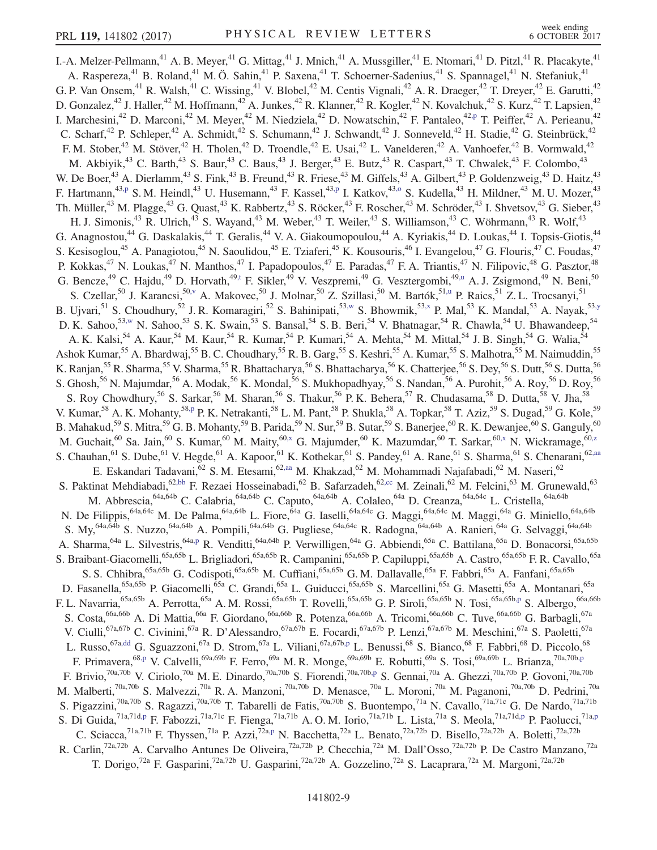<span id="page-8-7"></span><span id="page-8-6"></span><span id="page-8-5"></span><span id="page-8-4"></span><span id="page-8-3"></span><span id="page-8-2"></span><span id="page-8-1"></span><span id="page-8-0"></span>I.-A. Melzer-Pellmann,<sup>41</sup> A. B. Meyer,<sup>41</sup> G. Mittag,<sup>41</sup> J. Mnich,<sup>41</sup> A. Mussgiller,<sup>41</sup> E. Ntomari,<sup>41</sup> D. Pitzl,<sup>41</sup> R. Placakyte,<sup>41</sup> A. Raspereza,<sup>41</sup> B. Roland,<sup>41</sup> M. Ö. Sahin,<sup>41</sup> P. Saxena,<sup>41</sup> T. Schoerner-Sadenius,<sup>41</sup> S. Spannagel,<sup>41</sup> N. Stefaniuk,<sup>41</sup> G. P. Van Onsem,<sup>41</sup> R. Walsh,<sup>41</sup> C. Wissing,<sup>41</sup> V. Blobel,<sup>42</sup> M. Centis Vignali,<sup>42</sup> A. R. Draeger,<sup>42</sup> T. Dreyer,<sup>42</sup> E. Garutti,<sup>42</sup> D. Gonzalez,<sup>42</sup> J. Haller,<sup>42</sup> M. Hoffmann,<sup>42</sup> A. Junkes,<sup>42</sup> R. Klanner,<sup>42</sup> R. Kogler,<sup>42</sup> N. Kovalchuk,<sup>42</sup> S. Kurz,<sup>42</sup> T. Lapsien,<sup>42</sup> I. Marchesini,<sup>42</sup> D. Marconi,<sup>42</sup> M. Meyer,<sup>42</sup> M. Niedziela,<sup>42</sup> D. Nowatschin,<sup>42</sup> F. Pantaleo,<sup>4[2,p](#page-16-12)</sup> T. Peiffer,<sup>42</sup> A. Perieanu,<sup>42</sup> C. Scharf,<sup>42</sup> P. Schleper,<sup>42</sup> A. Schmidt,<sup>42</sup> S. Schumann,<sup>42</sup> J. Schwandt,<sup>42</sup> J. Sonneveld,<sup>42</sup> H. Stadie,<sup>42</sup> G. Steinbrück,<sup>42</sup> F. M. Stober,<sup>42</sup> M. Stöver,<sup>42</sup> H. Tholen,<sup>42</sup> D. Troendle,<sup>42</sup> E. Usai,<sup>42</sup> L. Vanelderen,<sup>42</sup> A. Vanhoefer,<sup>42</sup> B. Vormwald,<sup>42</sup> M. Akbiyik,<sup>43</sup> C. Barth,<sup>43</sup> S. Baur,<sup>43</sup> C. Baus,<sup>43</sup> J. Berger,<sup>43</sup> E. Butz,<sup>43</sup> R. Caspart,<sup>43</sup> T. Chwalek,<sup>43</sup> F. Colombo,<sup>43</sup> W. De Boer,  $^{43}$  A. Dierlamm,  $^{43}$  S. Fink,  $^{43}$  B. Freund,  $^{43}$  R. Friese,  $^{43}$  M. Giffels,  $^{43}$  A. Gilbert,  $^{43}$  P. Goldenzweig,  $^{43}$  D. Haitz,  $^{43}$ F. Hartmann,<sup>4[3,p](#page-16-12)</sup> S. M. Heindl,<sup>43</sup> U. Husemann,<sup>43</sup> F. Kassel,<sup>43[,p](#page-16-12)</sup> I. Katkov,<sup>43[,o](#page-16-11)</sup> S. Kudella,<sup>43</sup> H. Mildner,<sup>43</sup> M. U. Mozer,<sup>43</sup> Th. Müller,<sup>43</sup> M. Plagge,<sup>43</sup> G. Quast,<sup>43</sup> K. Rabbertz,<sup>43</sup> S. Röcker,<sup>43</sup> F. Roscher,<sup>43</sup> M. Schröder,<sup>43</sup> I. Shvetsov,<sup>43</sup> G. Sieber,<sup>43</sup> H. J. Simonis,<sup>43</sup> R. Ulrich,<sup>43</sup> S. Wayand,<sup>43</sup> M. Weber,<sup>43</sup> T. Weiler,<sup>43</sup> S. Williamson,<sup>43</sup> C. Wöhrmann,<sup>43</sup> R. Wolf,<sup>43</sup> G. Anagnostou,<sup>44</sup> G. Daskalakis,<sup>44</sup> T. Geralis,<sup>44</sup> V. A. Giakoumopoulou,<sup>44</sup> A. Kyriakis,<sup>44</sup> D. Loukas,<sup>44</sup> I. Topsis-Giotis,<sup>44</sup> S. Kesisoglou,<sup>45</sup> A. Panagiotou,<sup>45</sup> N. Saoulidou,<sup>45</sup> E. Tziaferi,<sup>45</sup> K. Kousouris,<sup>46</sup> I. Evangelou,<sup>47</sup> G. Flouris,<sup>47</sup> C. Foudas,<sup>47</sup> P. Kokkas,<sup>47</sup> N. Loukas,<sup>47</sup> N. Manthos,<sup>47</sup> I. Papadopoulos,<sup>47</sup> E. Paradas,<sup>47</sup> F. A. Triantis,<sup>47</sup> N. Filipovic,<sup>48</sup> G. Pasztor,<sup>48</sup> G. Bencze,<sup>49</sup> C. Hajdu,<sup>49</sup> D. Horvath,<sup>4[9,t](#page-16-16)</sup> F. Sikler,<sup>49</sup> V. Veszpremi,<sup>49</sup> G. Vesztergombi,<sup>49[,u](#page-16-17)</sup> A. J. Zsigmond,<sup>49</sup> N. Beni,<sup>50</sup> S. Czellar,<sup>50</sup> J. Karancsi,<sup>5[0,v](#page-16-18)</sup> A. Makovec,<sup>50</sup> J. Molnar,<sup>50</sup> Z. Szillasi,<sup>50</sup> M. Bartók,<sup>51[,u](#page-16-17)</sup> P. Raics,<sup>51</sup> Z. L. Trocsanyi,<sup>51</sup> B. Ujvari, <sup>51</sup> S. Choudhury, <sup>52</sup> J. R. Komaragiri, <sup>52</sup> S. Bahinipati, <sup>5[3,w](#page-16-19)</sup> S. Bhowmik, <sup>5[3,x](#page-16-20)</sup> P. Mal, <sup>53</sup> K. Mandal, <sup>53</sup> A. Nayak, <sup>53[,y](#page-16-21)</sup> D. K. Sahoo,<sup>53[,w](#page-16-19)</sup> N. Sahoo,<sup>53</sup> S. K. Swain,<sup>53</sup> S. Bansal,<sup>54</sup> S. B. Beri,<sup>54</sup> V. Bhatnagar,<sup>54</sup> R. Chawla,<sup>54</sup> U. Bhawandeep,<sup>54</sup> A. K. Kalsi,<sup>54</sup> A. Kaur,<sup>54</sup> M. Kaur,<sup>54</sup> R. Kumar,<sup>54</sup> P. Kumari,<sup>54</sup> A. Mehta,<sup>54</sup> M. Mittal,<sup>54</sup> J. B. Singh,<sup>54</sup> G. Walia,<sup>54</sup> Ashok Kumar,<sup>55</sup> A. Bhardwaj,<sup>55</sup> B. C. Choudhary,<sup>55</sup> R. B. Garg,<sup>55</sup> S. Keshri,<sup>55</sup> A. Kumar,<sup>55</sup> S. Malhotra,<sup>55</sup> M. Naimuddin,<sup>55</sup> K. Ranjan,<sup>55</sup> R. Sharma,<sup>55</sup> V. Sharma,<sup>55</sup> R. Bhattacharya,<sup>56</sup> S. Bhattacharya,<sup>56</sup> K. Chatterjee,<sup>56</sup> S. Dey,<sup>56</sup> S. Dutt,<sup>56</sup> S. Dutta,<sup>56</sup> S. Ghosh,<sup>56</sup> N. Majumdar,<sup>56</sup> A. Modak,<sup>56</sup> K. Mondal,<sup>56</sup> S. Mukhopadhyay,<sup>56</sup> S. Nandan,<sup>56</sup> A. Purohit,<sup>56</sup> A. Roy,<sup>56</sup> D. Roy,<sup>56</sup> S. Roy Chowdhury,<sup>56</sup> S. Sarkar,<sup>56</sup> M. Sharan,<sup>56</sup> S. Thakur,<sup>56</sup> P. K. Behera,<sup>57</sup> R. Chudasama,<sup>58</sup> D. Dutta,<sup>58</sup> V. Jha,<sup>58</sup> V. Kumar,<sup>58</sup> A. K. Mohanty,<sup>58[,p](#page-16-12)</sup> P. K. Netrakanti,<sup>58</sup> L. M. Pant,<sup>58</sup> P. Shukla,<sup>58</sup> A. Topkar,<sup>58</sup> T. Aziz,<sup>59</sup> S. Dugad,<sup>59</sup> G. Kole,<sup>59</sup> B. Mahakud,<sup>59</sup> S. Mitra,<sup>59</sup> G. B. Mohanty,<sup>59</sup> B. Parida,<sup>59</sup> N. Sur,<sup>59</sup> B. Sutar,<sup>59</sup> S. Banerjee,<sup>60</sup> R. K. Dewanjee,<sup>60</sup> S. Ganguly,<sup>60</sup> M. Guchait,<sup>60</sup> Sa. Jain,<sup>60</sup> S. Kumar,<sup>60</sup> M. Maity,<sup>6[0,x](#page-16-20)</sup> G. Majumder,<sup>60</sup> K. Mazumdar,<sup>60</sup> T. Sarkar,<sup>60[,x](#page-16-20)</sup> N. Wickramage,<sup>60[,z](#page-16-22)</sup> S. Chauhan, <sup>61</sup> S. Dube, <sup>61</sup> V. Hegde, <sup>61</sup> A. Kapoor, <sup>61</sup> K. Kothekar, <sup>61</sup> S. Pandey, <sup>61</sup> A. Rane, <sup>61</sup> S. Sharma, <sup>61</sup> S. Chenarani, <sup>62, aa</sup> E. Eskandari Tadavani, <sup>62</sup> S. M. Etesami, <sup>6[2,aa](#page-16-23)</sup> M. Khakzad, <sup>62</sup> M. Mohammadi Najafabadi, <sup>62</sup> M. Naseri, <sup>62</sup> S. Paktinat Mehdiabadi, <sup>6[2,bb](#page-16-24)</sup> F. Rezaei Hosseinabadi, <sup>62</sup> B. Safarzadeh, <sup>6[2,cc](#page-16-25)</sup> M. Zeinali, <sup>62</sup> M. Felcini, <sup>63</sup> M. Grunewald, <sup>63</sup> M. Abbrescia, <sup>64a,64b</sup> C. Calabria, <sup>64a,64b</sup> C. Caputo, <sup>64a,64b</sup> A. Colaleo, <sup>64a</sup> D. Creanza, <sup>64a,64c</sup> L. Cristella, <sup>64a,64b</sup> N. De Filippis, <sup>64a,64c</sup> M. De Palma, <sup>64a,64b</sup> L. Fiore, <sup>64a</sup> G. Iaselli, <sup>64a,64c</sup> G. Maggi, <sup>64a,64c</sup> M. Maggi, <sup>64a</sup> G. Miniello, <sup>64a,64b</sup> S. My,<sup>64a,64b</sup> S. Nuzzo,<sup>64a,64b</sup> A. Pompili,<sup>64a,64b</sup> G. Pugliese,<sup>64a,64c</sup> R. Radogna,<sup>64a,64b</sup> A. Ranieri,<sup>64a</sup> G. Selvaggi,<sup>64a,64b</sup> A. Sharma, <sup>64a</sup> L. Silvestris, <sup>64[a,p](#page-16-12)</sup> R. Venditti, <sup>64a, 64b P. Verwilligen, <sup>64a</sup> G. Abbiendi, <sup>65a</sup> C. Battilana, <sup>65a</sup> D. Bonacorsi, <sup>65a, 65b</sup></sup> S. Braibant-Giacomelli,<sup>65a,65b</sup> L. Brigliadori,<sup>65a,65b</sup> R. Campanini,<sup>65a,65b</sup> P. Capiluppi,<sup>65a,65b</sup> A. Castro,<sup>65a,65b</sup> F. R. Cavallo,<sup>65a</sup> S. S. Chhibra, <sup>65a,65b</sup> G. Codispoti, <sup>65a,65b</sup> M. Cuffiani, <sup>65a,65b</sup> G. M. Dallavalle, <sup>65a</sup> F. Fabbri, <sup>65a</sup> A. Fanfani, <sup>65a,65b</sup> D. Fasanella,<sup>65a,65b</sup> P. Giacomelli,<sup>65a</sup> C. Grandi,<sup>65a</sup> L. Guiducci,<sup>65a,65b</sup> S. Marcellini,<sup>65a</sup> G. Masetti,<sup>65a</sup> A. Montanari,<sup>65a</sup> F. L. Navarria,<sup>65a,65b</sup> A. Perrotta,<sup>65a</sup> A. M. Rossi,<sup>65a,65b</sup> T. Rovelli,<sup>65a,65b</sup> G. P. Siroli,<sup>65a,65b</sup> N. Tosi,<sup>65a,65b[,p](#page-16-12)</sup> S. Albergo,<sup>66a,66b</sup> S. Costa, <sup>66a,66b</sup> A. Di Mattia, <sup>66a</sup> F. Giordano, <sup>66a,66b</sup> R. Potenza, <sup>66a,66b</sup> A. Tricomi, <sup>66a,66b</sup> C. Tuve, <sup>66a,66b</sup> G. Barbagli, <sup>67a</sup> V. Ciulli,<sup>67a,67b</sup> C. Civinini,<sup>67a</sup> R. D'Alessandro,<sup>67a,67b</sup> E. Focardi,<sup>67a,67b</sup> P. Lenzi,<sup>67a,67b</sup> M. Meschini,<sup>67a</sup> S. Paoletti,<sup>67a</sup> L. Russo,<sup>67a[,dd](#page-16-26)</sup> G. Sguazzoni,<sup>67a</sup> D. Strom,<sup>67a</sup> L. Viliani,<sup>67a,67b[,p](#page-16-12)</sup> L. Benussi,<sup>68</sup> S. Bianco,<sup>68</sup> F. Fabbri,<sup>68</sup> D. Piccolo,<sup>68</sup> F. Primavera, <sup>6[8,p](#page-16-12)</sup> V. Calvelli, <sup>69a, 69b</sup> F. Ferro, <sup>69a</sup> M. R. Monge, <sup>69a, 69b</sup> E. Robutti, <sup>69a</sup> S. Tosi, <sup>69a, 69b</sup> L. Brianza, <sup>70a, 70b[,p](#page-16-12)</sup> F. Brivio,  $^{70a,70b}$  V. Ciriolo,  $^{70a}$  M. E. Dinardo,  $^{70a,70b}$  S. Fiorendi,  $^{70a,70b,p}$  $^{70a,70b,p}$  $^{70a,70b,p}$  S. Gennai,  $^{70a}$  A. Ghezzi,  $^{70a,70b}$  P. Govoni,  $^{70a,70b}$ M. Malberti,<sup>70a,70b</sup> S. Malvezzi,<sup>70a</sup> R. A. Manzoni,<sup>70a,70b</sup> D. Menasce,<sup>70a</sup> L. Moroni,<sup>70a</sup> M. Paganoni,<sup>70a,70b</sup> D. Pedrini,<sup>70a</sup> S. Pigazzini,<sup>70a,70b</sup> S. Ragazzi,<sup>70a,70b</sup> T. Tabarelli de Fatis,<sup>70a,70b</sup> S. Buontempo,<sup>71a</sup> N. Cavallo,<sup>71a,71c</sup> G. De Nardo,<sup>71a,71b</sup> S. Di Guida,<sup>71a,71[d,p](#page-16-12)</sup> F. Fabozzi,<sup>71a,71c</sup> F. Fienga,<sup>71a,71b</sup> A.O.M. Iorio,<sup>71a,71b</sup> L. Lista,<sup>71a</sup> S. Meola,<sup>71a,71d[,p](#page-16-12)</sup> P. Paolucci,<sup>71[a,p](#page-16-12)</sup> C. Sciacca,<sup>71a,71b</sup> F. Thyssen,<sup>71a</sup> P. Azzi,<sup>72a[,p](#page-16-12)</sup> N. Bacchetta,<sup>72a</sup> L. Benato,<sup>72a,72b</sup> D. Bisello,<sup>72a,72b</sup> A. Boletti,<sup>72a,72b</sup> R. Carlin,<sup>72a,72b</sup> A. Carvalho Antunes De Oliveira,<sup>72a,72b</sup> P. Checchia,<sup>72a</sup> M. Dall'Osso,<sup>72a,72b</sup> P. De Castro Manzano,<sup>72a</sup> T. Dorigo,<sup>72a</sup> F. Gasparini,<sup>72a,72b</sup> U. Gasparini,<sup>72a,72b</sup> A. Gozzelino,<sup>72a</sup> S. Lacaprara,<sup>72a</sup> M. Margoni,<sup>72a,72b</sup>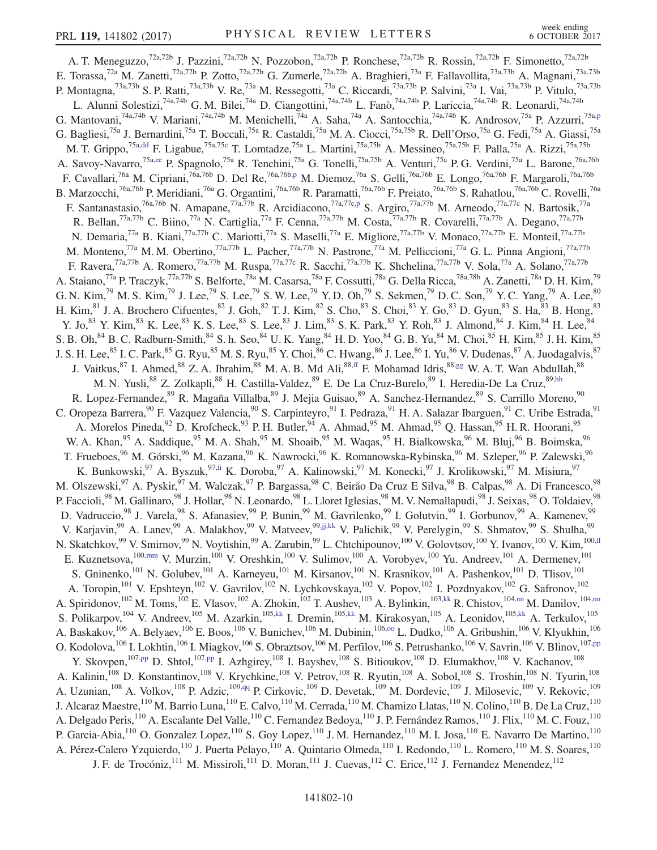<span id="page-9-11"></span><span id="page-9-10"></span><span id="page-9-9"></span><span id="page-9-8"></span><span id="page-9-7"></span><span id="page-9-6"></span><span id="page-9-5"></span><span id="page-9-4"></span><span id="page-9-3"></span><span id="page-9-2"></span><span id="page-9-1"></span><span id="page-9-0"></span>A. T. Meneguzzo,<sup>72a,72b</sup> J. Pazzini,<sup>72a,72b</sup> N. Pozzobon,<sup>72a,72b</sup> P. Ronchese,<sup>72a,72b</sup> R. Rossin,<sup>72a,72b</sup> F. Simonetto,<sup>72a,72b</sup> E. Torassa,<sup>72a</sup> M. Zanetti,<sup>72a,72b</sup> P. Zotto,<sup>72a,72b</sup> G. Zumerle,<sup>72a,72b</sup> A. Braghieri,<sup>73a</sup> F. Fallavollita,<sup>73a,73b</sup> A. Magnani,<sup>73a,73b</sup> P. Montagna,<sup>73a,73b</sup> S. P. Ratti,<sup>73a,73b</sup> V. Re,<sup>73a</sup> M. Ressegotti,<sup>73a</sup> C. Riccardi,<sup>73a,73b</sup> P. Salvini,<sup>73a</sup> I. Vai,<sup>73a,73b</sup> P. Vitulo,<sup>73a,73b</sup> L. Alunni Solestizi,<sup>74a,74b</sup> G. M. Bilei,<sup>74a</sup> D. Ciangottini,<sup>74a,74b</sup> L. Fanò,<sup>74a,74b</sup> P. Lariccia,<sup>74a,74b</sup> R. Leonardi,<sup>74a,74b</sup> G. Mantovani,<sup>74a,74b</sup> V. Mariani,<sup>74a,74b</sup> M. Menichelli,<sup>74a</sup> A. Saha,<sup>74a</sup> A. Santocchia,<sup>74a,74b</sup> K. Androsov,<sup>75a</sup> P. Azzurri,<sup>75a[,p](#page-16-12)</sup> G. Bagliesi,<sup>75a</sup> J. Bernardini,<sup>75a</sup> T. Boccali,<sup>75a</sup> R. Castaldi,<sup>75a</sup> M. A. Ciocci,<sup>75a,75b</sup> R. Dell'Orso,<sup>75a</sup> G. Fedi,<sup>75a</sup> A. Giassi,<sup>75a</sup> M. T. Grippo,<sup>75a[,dd](#page-16-26)</sup> F. Ligabue,<sup>75a,75c</sup> T. Lomtadze,<sup>75a</sup> L. Martini,<sup>75a,75b</sup> A. Messineo,<sup>75a,75b</sup> F. Palla,<sup>75a</sup> A. Rizzi,<sup>75a,75b</sup> A. Savoy-Navarro,<sup>75[a,ee](#page-16-27)</sup> P. Spagnolo,<sup>75a</sup> R. Tenchini,<sup>75a</sup> G. Tonelli,<sup>75a,75b</sup> A. Venturi,<sup>75a</sup> P. G. Verdini,<sup>75a</sup> L. Barone,<sup>76a,76b</sup> F. Cavallari,<sup>76a</sup> M. Cipriani,<sup>76a,76b</sup> D. Del Re,<sup>76a,76[b,p](#page-16-12)</sup> M. Diemoz,<sup>76a</sup> S. Gelli,<sup>76a,76b</sup> E. Longo,<sup>76a,76b</sup> F. Margaroli,<sup>76a,76b</sup> B. Marzocchi,<sup>76a,76b</sup> P. Meridiani,<sup>76a</sup> G. Organtini,<sup>76a,76b</sup> R. Paramatti,<sup>76a,76b</sup> F. Preiato,<sup>76a,76b</sup> S. Rahatlou,<sup>76a,76b</sup> C. Rovelli,<sup>76a</sup> F. Santanastasio,<sup>76a,76b</sup> N. Amapane,<sup>77a,77b</sup> R. Arcidiacono,<sup>77a,77[c,p](#page-16-12)</sup> S. Argiro,<sup>77a,77b</sup> M. Arneodo,<sup>77a,77c</sup> N. Bartosik,<sup>77a</sup> R. Bellan,<sup>77a,77b</sup> C. Biino,<sup>77a</sup> N. Cartiglia,<sup>77a</sup> F. Cenna,<sup>77a,77b</sup> M. Costa,<sup>77a,77b</sup> R. Covarelli,<sup>77a,77b</sup> A. Degano,<sup>77a,77b</sup> N. Demaria,<sup>77a</sup> B. Kiani,<sup>77a,77b</sup> C. Mariotti,<sup>77a</sup> S. Maselli,<sup>77a</sup> E. Migliore,<sup>77a,77b</sup> V. Monaco,<sup>77a,77b</sup> E. Monteil,<sup>77a,77b</sup> M. Monteno,<sup>77a</sup> M. M. Obertino,<sup>77a,77b</sup> L. Pacher,<sup>77a,77b</sup> N. Pastrone,<sup>77a</sup> M. Pelliccioni,<sup>77a</sup> G. L. Pinna Angioni,<sup>77a,77b</sup> F. Ravera,<sup>77a,77b</sup> A. Romero,<sup>77a,77b</sup> M. Ruspa,<sup>77a,77c</sup> R. Sacchi,<sup>77a,77b</sup> K. Shchelina,<sup>77a,77b</sup> V. Sola,<sup>77a</sup> A. Solano,<sup>77a,77b</sup> A. Staiano,<sup>77a</sup> P. Traczyk,<sup>77a,77b</sup> S. Belforte,<sup>78a</sup> M. Casarsa,<sup>78a</sup> F. Cossutti,<sup>78a</sup> G. Della Ricca,<sup>78a,78b</sup> A. Zanetti,<sup>78a</sup> D. H. Kim,<sup>79</sup> G. N. Kim,<sup>79</sup> M. S. Kim,<sup>79</sup> J. Lee,<sup>79</sup> S. Lee,<sup>79</sup> S. W. Lee,<sup>79</sup> Y. D. Oh,<sup>79</sup> S. Sekmen,<sup>79</sup> D. C. Son,<sup>79</sup> Y. C. Yang,<sup>79</sup> A. Lee,<sup>80</sup> H. Kim, <sup>81</sup> J. A. Brochero Cifuentes, <sup>82</sup> J. Goh, <sup>82</sup> T. J. Kim, <sup>82</sup> S. Cho, <sup>83</sup> S. Choi, <sup>83</sup> Y. Go, <sup>83</sup> D. Gyun, <sup>83</sup> S. Ha, <sup>83</sup> B. Hong, <sup>83</sup> Y. Jo,<sup>83</sup> Y. Kim,<sup>83</sup> K. Lee,<sup>83</sup> K. S. Lee,<sup>83</sup> S. Lee,<sup>83</sup> J. Lim,<sup>83</sup> S. K. Park,<sup>83</sup> Y. Roh,<sup>83</sup> J. Almond,<sup>84</sup> J. Kim,<sup>84</sup> H. Lee,<sup>84</sup> S. B. Oh,  $84$  B. C. Radburn-Smith,  $84$  S. h. Seo,  $84$  U. K. Yang,  $84$  H. D. Yoo,  $84$  G. B. Yu,  $84$  M. Choi,  $85$  H. Kim,  $85$  J. H. Kim,  $85$ J. S. H. Lee,  $^{85}$  I. C. Park,  $^{85}$  G. Ryu,  $^{85}$  M. S. Ryu,  $^{85}$  Y. Choi,  $^{86}$  C. Hwang,  $^{86}$  J. Lee,  $^{86}$  I. Yu,  $^{86}$  V. Dudenas,  $^{87}$  A. Juodagalvis,  $^{87}$ J. Vaitkus, <sup>87</sup> I. Ahmed, <sup>88</sup> Z. A. Ibrahim, <sup>88</sup> M. A. B. Md Ali, <sup>88, ff</sup> F. Mohamad Idris, <sup>88, gg</sup> W. A. T. Wan Abdullah, <sup>88</sup> M. N. Yusli,<sup>88</sup> Z. Zolkapli,<sup>88</sup> H. Castilla-Valdez,<sup>89</sup> E. De La Cruz-Burelo,<sup>89</sup> I. Heredia-De La Cruz, 89[,hh](#page-16-30) R. Lopez-Fernandez,<sup>89</sup> R. Magaña Villalba,<sup>89</sup> J. Mejia Guisao,<sup>89</sup> A. Sanchez-Hernandez,<sup>89</sup> S. Carrillo Moreno,<sup>90</sup> C. Oropeza Barrera, <sup>90</sup> F. Vazquez Valencia, <sup>90</sup> S. Carpinteyro, <sup>91</sup> I. Pedraza, <sup>91</sup> H. A. Salazar Ibarguen, <sup>91</sup> C. Uribe Estrada, <sup>91</sup> A. Morelos Pineda, <sup>92</sup> D. Krofcheck, <sup>93</sup> P. H. Butler, <sup>94</sup> A. Ahmad, <sup>95</sup> M. Ahmad, <sup>95</sup> Q. Hassan, <sup>95</sup> H. R. Hoorani, <sup>95</sup> W. A. Khan,<sup>95</sup> A. Saddique,<sup>95</sup> M. A. Shah,<sup>95</sup> M. Shoaib,<sup>95</sup> M. Waqas,<sup>95</sup> H. Bialkowska,<sup>96</sup> M. Bluj,<sup>96</sup> B. Boimska,<sup>96</sup> T. Frueboes,<sup>96</sup> M. Górski,<sup>96</sup> M. Kazana,<sup>96</sup> K. Nawrocki,<sup>96</sup> K. Romanowska-Rybinska,<sup>96</sup> M. Szleper,<sup>96</sup> P. Zalewski,<sup>96</sup> K. Bunkowski,<sup>97</sup> A. Byszuk,<sup>9[7,ii](#page-16-31)</sup> K. Doroba,<sup>97</sup> A. Kalinowski,<sup>97</sup> M. Konecki,<sup>97</sup> J. Krolikowski,<sup>97</sup> M. Misiura,<sup>97</sup> M. Olszewski, <sup>97</sup> A. Pyskir, <sup>97</sup> M. Walczak, <sup>97</sup> P. Bargassa, <sup>98</sup> C. Beirão Da Cruz E Silva, <sup>98</sup> B. Calpas, <sup>98</sup> A. Di Francesco, <sup>98</sup> P. Faccioli,<sup>98</sup> M. Gallinaro,<sup>98</sup> J. Hollar,<sup>98</sup> N. Leonardo,<sup>98</sup> L. Lloret Iglesias,<sup>98</sup> M. V. Nemallapudi,<sup>98</sup> J. Seixas,<sup>98</sup> O. Toldaiev,<sup>98</sup> D. Vadruccio,<sup>98</sup> J. Varela,<sup>98</sup> S. Afanasiev,<sup>99</sup> P. Bunin,<sup>99</sup> M. Gavrilenko,<sup>99</sup> I. Golutvin,<sup>99</sup> I. Gorbunov,<sup>99</sup> A. Kamenev,<sup>99</sup> V. Karjavin,<sup>99</sup> A. Lanev,<sup>99</sup> A. Malakhov,<sup>99</sup> V. Matveev,<sup>9[9,jj,kk](#page-16-32)</sup> V. Palichik,<sup>99</sup> V. Perelygin,<sup>99</sup> S. Shmatov,<sup>99</sup> S. Shulha,<sup>99</sup> N. Skatchkov,<sup>99</sup> V. Smirnov,<sup>99</sup> N. Voytishin,<sup>99</sup> A. Zarubin,<sup>99</sup> L. Chtchipounov,<sup>100</sup> V. Golovtsov,<sup>100</sup> Y. Ivanov,<sup>100</sup> V. Kim,<sup>10[0,ll](#page-16-33)</sup> E. Kuznetsova, 100[,mm](#page-16-34) V. Murzin, 100 V. Oreshkin, <sup>100</sup> V. Sulimov, <sup>100</sup> A. Vorobyev, <sup>100</sup> Yu. Andreev, <sup>101</sup> A. Dermenev, <sup>101</sup> S. Gninenko,<sup>101</sup> N. Golubev,<sup>101</sup> A. Karneyeu,<sup>101</sup> M. Kirsanov,<sup>101</sup> N. Krasnikov,<sup>101</sup> A. Pashenkov,<sup>101</sup> D. Tlisov,<sup>101</sup> A. Toropin,<sup>101</sup> V. Epshteyn,<sup>102</sup> V. Gavrilov,<sup>102</sup> N. Lychkovskaya,<sup>102</sup> V. Popov,<sup>102</sup> I. Pozdnyakov,<sup>102</sup> G. Safronov,<sup>102</sup> A. Spiridonov,<sup>102</sup> M. Toms,<sup>102</sup> E. Vlasov,<sup>102</sup> A. Zhokin,<sup>102</sup> T. Aushev,<sup>103</sup> A. Bylinkin,<sup>103[,kk](#page-16-35)</sup> R. Chistov,<sup>104[,nn](#page-16-36)</sup> M. Danilov,<sup>10[4,nn](#page-16-36)</sup> S. Polikarpov,<sup>104</sup> V. Andreev,<sup>105</sup> M. Azarkin,<sup>105[,kk](#page-16-35)</sup> I. Dremin,<sup>10[5,kk](#page-16-35)</sup> M. Kirakosyan,<sup>105</sup> A. Leonidov,<sup>105,kk</sup> A. Terkulov,<sup>105</sup> A. Baskakov,<sup>106</sup> A. Belyaev,<sup>106</sup> E. Boos,<sup>106</sup> V. Bunichev,<sup>106</sup> M. Dubinin,<sup>106,00</sup> L. Dudko,<sup>106</sup> A. Gribushin,<sup>106</sup> V. Klyukhin,<sup>106</sup> O. Kodolova, <sup>106</sup> I. Lokhtin, <sup>106</sup> I. Miagkov, <sup>106</sup> S. Obraztsov, <sup>106</sup> M. Perfilov, <sup>106</sup> S. Petrushanko, <sup>106</sup> V. Savrin, <sup>106</sup> V. Blinov, <sup>107, pp</sup> Y. Skovpen,<sup>10[7,pp](#page-16-38)</sup> D. Shtol,<sup>107[,pp](#page-16-38)</sup> I. Azhgirey,<sup>108</sup> I. Bayshev,<sup>108</sup> S. Bitioukov,<sup>108</sup> D. Elumakhov,<sup>108</sup> V. Kachanov,<sup>108</sup> A. Kalinin,<sup>108</sup> D. Konstantinov,<sup>108</sup> V. Krychkine,<sup>108</sup> V. Petrov,<sup>108</sup> R. Ryutin,<sup>108</sup> A. Sobol,<sup>108</sup> S. Troshin,<sup>108</sup> N. Tyurin,<sup>108</sup> A. Uzunian, <sup>108</sup> A. Volkov, <sup>108</sup> P. Adzic, <sup>10[9,qq](#page-16-39)</sup> P. Cirkovic, <sup>109</sup> D. Devetak, <sup>109</sup> M. Dordevic, <sup>109</sup> J. Milosevic, <sup>109</sup> V. Rekovic, <sup>109</sup> J. Alcaraz Maestre,<sup>110</sup> M. Barrio Luna,<sup>110</sup> E. Calvo,<sup>110</sup> M. Cerrada,<sup>110</sup> M. Chamizo Llatas,<sup>110</sup> N. Colino,<sup>110</sup> B. De La Cruz,<sup>110</sup> A. Delgado Peris, <sup>110</sup> A. Escalante Del Valle, <sup>110</sup> C. Fernandez Bedoya, <sup>110</sup> J. P. Fernández Ramos, <sup>110</sup> J. Flix, <sup>110</sup> M. C. Fouz, <sup>110</sup> P. Garcia-Abia,<sup>110</sup> O. Gonzalez Lopez,<sup>110</sup> S. Goy Lopez,<sup>110</sup> J. M. Hernandez,<sup>110</sup> M. I. Josa,<sup>110</sup> E. Navarro De Martino,<sup>110</sup> A. Pérez-Calero Yzquierdo,<sup>110</sup> J. Puerta Pelayo,<sup>110</sup> A. Quintario Olmeda,<sup>110</sup> I. Redondo,<sup>110</sup> L. Romero,<sup>110</sup> M. S. Soares,<sup>110</sup> J. F. de Trocóniz,  $^{111}$  M. Missiroli,  $^{111}$  D. Moran,  $^{111}$  J. Cuevas,  $^{112}$  C. Erice,  $^{112}$  J. Fernandez Menendez,  $^{112}$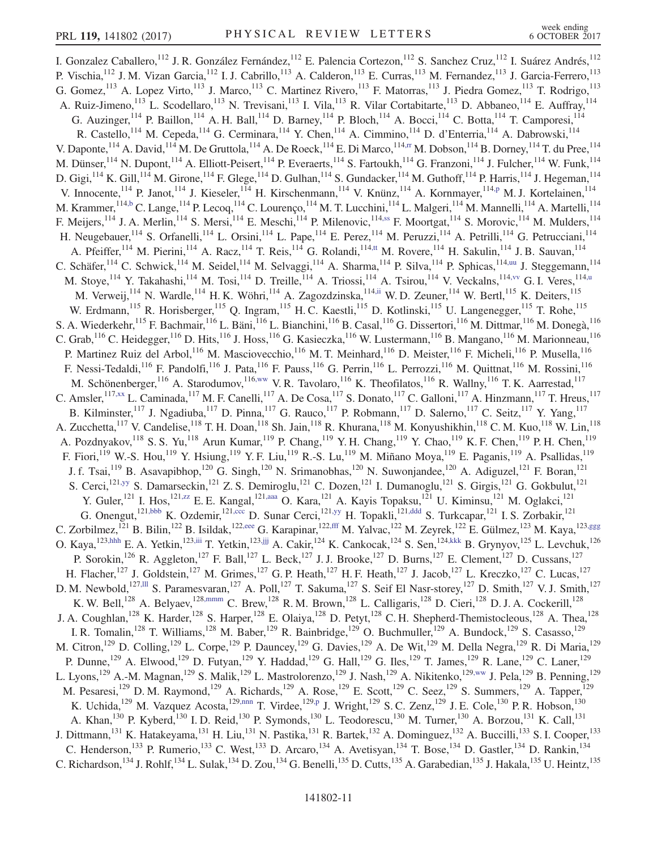<span id="page-10-13"></span><span id="page-10-12"></span><span id="page-10-11"></span><span id="page-10-10"></span><span id="page-10-9"></span><span id="page-10-8"></span><span id="page-10-7"></span><span id="page-10-6"></span><span id="page-10-5"></span><span id="page-10-4"></span><span id="page-10-3"></span><span id="page-10-2"></span><span id="page-10-1"></span><span id="page-10-0"></span>I. Gonzalez Caballero,<sup>112</sup> J. R. González Fernández,<sup>112</sup> E. Palencia Cortezon,<sup>112</sup> S. Sanchez Cruz,<sup>112</sup> I. Suárez Andrés,<sup>112</sup> P. Vischia, <sup>112</sup> J. M. Vizan Garcia, <sup>112</sup> I. J. Cabrillo, <sup>113</sup> A. Calderon, <sup>113</sup> E. Curras, <sup>113</sup> M. Fernandez, <sup>113</sup> J. Garcia-Ferrero, <sup>113</sup> G. Gomez,<sup>113</sup> A. Lopez Virto,<sup>113</sup> J. Marco,<sup>113</sup> C. Martinez Rivero,<sup>113</sup> F. Matorras,<sup>113</sup> J. Piedra Gomez,<sup>113</sup> T. Rodrigo,<sup>113</sup> A. Ruiz-Jimeno, <sup>113</sup> L. Scodellaro, <sup>113</sup> N. Trevisani, <sup>113</sup> I. Vila, <sup>113</sup> R. Vilar Cortabitarte, <sup>113</sup> D. Abbaneo, <sup>114</sup> E. Auffray, <sup>114</sup> G. Auzinger,<sup>114</sup> P. Baillon,<sup>114</sup> A. H. Ball,<sup>114</sup> D. Barney,<sup>114</sup> P. Bloch,<sup>114</sup> A. Bocci,<sup>114</sup> C. Botta,<sup>114</sup> T. Camporesi,<sup>114</sup> R. Castello,<sup>114</sup> M. Cepeda,<sup>114</sup> G. Cerminara,<sup>114</sup> Y. Chen,<sup>114</sup> A. Cimmino,<sup>114</sup> D. d'Enterria,<sup>114</sup> A. Dabrowski,<sup>114</sup> V. Daponte, <sup>114</sup> A. David, <sup>114</sup> M. De Gruttola, <sup>114</sup> A. De Roeck, <sup>114</sup> E. Di Marco, <sup>11[4,rr](#page-16-40)</sup> M. Dobson, <sup>114</sup> B. Dorney, <sup>114</sup> T. du Pree, <sup>114</sup> M. Dünser,<sup>114</sup> N. Dupont,<sup>114</sup> A. Elliott-Peisert,<sup>114</sup> P. Everaerts,<sup>114</sup> S. Fartoukh,<sup>114</sup> G. Franzoni,<sup>114</sup> J. Fulcher,<sup>114</sup> W. Funk,<sup>114</sup> D. Gigi,  $^{114}$  K. Gill,  $^{114}$  M. Girone,  $^{114}$  F. Glege,  $^{114}$  D. Gulhan,  $^{114}$  S. Gundacker,  $^{114}$  M. Guthoff,  $^{114}$  P. Harris,  $^{114}$  J. Hegeman,  $^{114}$ V. Innocente, <sup>114</sup> P. Janot, <sup>114</sup> J. Kieseler, <sup>114</sup> H. Kirschenmann, <sup>114</sup> V. Knünz, <sup>114</sup> A. Kornmayer, <sup>114</sup>, <sup>p</sup> M. J. Kortelainen, <sup>114</sup> M. Krammer, <sup>114[,b](#page-16-0)</sup> C. Lange, <sup>114</sup> P. Lecoq, <sup>114</sup> C. Lourenço, <sup>114</sup> M. T. Lucchini, <sup>114</sup> L. Malgeri, <sup>114</sup> M. Mannelli, <sup>114</sup> A. Martelli, <sup>114</sup> F. Meijers,<sup>114</sup> J. A. Merlin,<sup>114</sup> S. Mersi,<sup>114</sup> E. Meschi,<sup>114</sup> P. Milenovic,<sup>11[4,ss](#page-16-41)</sup> F. Moortgat,<sup>114</sup> S. Morovic,<sup>114</sup> M. Mulders,<sup>114</sup> H. Neugebauer, <sup>114</sup> S. Orfanelli, <sup>114</sup> L. Orsini, <sup>114</sup> L. Pape, <sup>114</sup> E. Perez, <sup>114</sup> M. Peruzzi, <sup>114</sup> A. Petrilli, <sup>114</sup> G. Petrucciani, <sup>114</sup> A. Pfeiffer,<sup>114</sup> M. Pierini,<sup>114</sup> A. Racz,<sup>114</sup> T. Reis,<sup>114</sup> G. Rolandi,<sup>11[4,tt](#page-17-0)</sup> M. Rovere,<sup>114</sup> H. Sakulin,<sup>114</sup> J. B. Sauvan,<sup>114</sup> C. Schäfer,<sup>114</sup> C. Schwick,<sup>114</sup> M. Seidel,<sup>114</sup> M. Selvaggi,<sup>114</sup> A. Sharma,<sup>114</sup> P. Silva,<sup>114</sup> P. Sphicas,<sup>114[,uu](#page-17-1)</sup> J. Steggemann,<sup>114</sup> M. Stoye,<sup>114</sup> Y. Takahashi,<sup>114</sup> M. Tosi,<sup>114</sup> D. Treille,<sup>114</sup> A. Triossi,<sup>114</sup> A. Tsirou,<sup>114</sup> V. Veckalns,<sup>114[,vv](#page-17-2)</sup> G. I. Veres,<sup>114[,u](#page-16-17)</sup> M. Verweij, <sup>114</sup> N. Wardle, <sup>114</sup> H. K. Wöhri, <sup>114</sup> A. Zagozdzinska, <sup>114[,ii](#page-16-31)</sup> W. D. Zeuner, <sup>114</sup> W. Bertl, <sup>115</sup> K. Deiters, <sup>115</sup> W. Erdmann,<sup>115</sup> R. Horisberger,<sup>115</sup> Q. Ingram,<sup>115</sup> H. C. Kaestli,<sup>115</sup> D. Kotlinski,<sup>115</sup> U. Langenegger,<sup>115</sup> T. Rohe,<sup>115</sup> S. A. Wiederkehr, <sup>115</sup> F. Bachmair, <sup>116</sup> L. Bäni, <sup>116</sup> L. Bianchini, <sup>116</sup> B. Casal, <sup>116</sup> G. Dissertori, <sup>116</sup> M. Dittmar, <sup>116</sup> M. Donegà, <sup>116</sup> C. Grab, <sup>116</sup> C. Heidegger, <sup>116</sup> D. Hits, <sup>116</sup> J. Hoss, <sup>116</sup> G. Kasieczka, <sup>116</sup> W. Lustermann, <sup>116</sup> B. Mangano, <sup>116</sup> M. Marionneau, <sup>116</sup> P. Martinez Ruiz del Arbol,<sup>116</sup> M. Masciovecchio,<sup>116</sup> M. T. Meinhard,<sup>116</sup> D. Meister,<sup>116</sup> F. Micheli,<sup>116</sup> P. Musella,<sup>116</sup> F. Nessi-Tedaldi,<sup>116</sup> F. Pandolfi,<sup>116</sup> J. Pata,<sup>116</sup> F. Pauss,<sup>116</sup> G. Perrin,<sup>116</sup> L. Perrozzi,<sup>116</sup> M. Quittnat,<sup>116</sup> M. Rossini,<sup>116</sup> M. Schönenberger, 116 A. Starodumov, 116[,ww](#page-17-3) V. R. Tavolaro, <sup>116</sup> K. Theofilatos, <sup>116</sup> R. Wallny, <sup>116</sup> T. K. Aarrestad, <sup>117</sup> C. Amsler,  $117,xx$  $117,xx$  L. Caminada,  $117$  M. F. Canelli,  $117$  A. De Cosa,  $117$  S. Donato,  $117$  C. Galloni,  $117$  A. Hinzmann,  $117$  T. Hreus,  $117$ B. Kilminster,<sup>117</sup> J. Ngadiuba,<sup>117</sup> D. Pinna,<sup>117</sup> G. Rauco,<sup>117</sup> P. Robmann,<sup>117</sup> D. Salerno,<sup>117</sup> C. Seitz,<sup>117</sup> Y. Yang,<sup>117</sup> A. Zucchetta,<sup>117</sup> V. Candelise,<sup>118</sup> T. H. Doan,<sup>118</sup> Sh. Jain,<sup>118</sup> R. Khurana,<sup>118</sup> M. Konyushikhin,<sup>118</sup> C. M. Kuo,<sup>118</sup> W. Lin,<sup>118</sup> A. Pozdnyakov,<sup>118</sup> S. S. Yu,<sup>118</sup> Arun Kumar,<sup>119</sup> P. Chang,<sup>119</sup> Y. H. Chang,<sup>119</sup> Y. Chao,<sup>119</sup> K. F. Chen,<sup>119</sup> P. H. Chen,<sup>119</sup> F. Fiori,<sup>119</sup> W.-S. Hou,<sup>119</sup> Y. Hsiung,<sup>119</sup> Y. F. Liu,<sup>119</sup> R.-S. Lu,<sup>119</sup> M. Miñano Moya,<sup>119</sup> E. Paganis,<sup>119</sup> A. Psallidas,<sup>119</sup> J. f. Tsai,<sup>119</sup> B. Asavapibhop,<sup>120</sup> G. Singh,<sup>120</sup> N. Srimanobhas,<sup>120</sup> N. Suwonjandee,<sup>120</sup> A. Adiguzel,<sup>121</sup> F. Boran,<sup>121</sup> S. Cerci,<sup>12[1,yy](#page-17-5)</sup> S. Damarseckin,<sup>121</sup> Z. S. Demiroglu,<sup>121</sup> C. Dozen,<sup>121</sup> I. Dumanoglu,<sup>121</sup> S. Girgis,<sup>121</sup> G. Gokbulut,<sup>121</sup> Y. Guler,<sup>121</sup> I. Hos,<sup>12[1,zz](#page-17-6)</sup> E. E. Kangal,<sup>121[,aaa](#page-17-7)</sup> O. Kara,<sup>121</sup> A. Kayis Topaksu,<sup>121</sup> U. Kiminsu,<sup>121</sup> M. Oglakci,<sup>121</sup> G. Onengut,<sup>12[1,bbb](#page-17-8)</sup> K. Ozdemir,<sup>12[1,ccc](#page-17-9)</sup> D. Sunar Cerci,<sup>12[1,yy](#page-17-5)</sup> H. Topakli,<sup>121[,ddd](#page-17-10)</sup> S. Turkcapar,<sup>121</sup> I. S. Zorbakir,<sup>121</sup> C. Zorbilmez,<sup>121</sup> B. Bilin,<sup>122</sup> B. Isildak,<sup>12[2,eee](#page-17-11)</sup> G. Karapinar,<sup>12[2,fff](#page-17-12)</sup> M. Yalvac,<sup>122</sup> M. Zeyrek,<sup>122</sup> E. Gülmez,<sup>123</sup> M. Kaya,<sup>123[,ggg](#page-17-13)</sup> O. Kaya,<sup>12[3,hhh](#page-17-14)</sup> E. A. Yetkin,<sup>12[3,jjj](#page-17-16)</sup> T. Yetkin,<sup>123,jjj</sup> A. Cakir,<sup>124</sup> K. Cankocak,<sup>124</sup> S. Sen,<sup>124[,kkk](#page-17-17)</sup> B. Grynyov,<sup>125</sup> L. Levchuk,<sup>126</sup> P. Sorokin,<sup>126</sup> R. Aggleton,<sup>127</sup> F. Ball,<sup>127</sup> L. Beck,<sup>127</sup> J. J. Brooke,<sup>127</sup> D. Burns,<sup>127</sup> E. Clement,<sup>127</sup> D. Cussans,<sup>127</sup> H. Flacher,<sup>127</sup> J. Goldstein,<sup>127</sup> M. Grimes,<sup>127</sup> G. P. Heath,<sup>127</sup> H. F. Heath,<sup>127</sup> J. Jacob,<sup>127</sup> L. Kreczko,<sup>127</sup> C. Lucas,<sup>127</sup> D. M. Newbold,<sup>127,111</sup> S. Paramesvaran,<sup>127</sup> A. Poll,<sup>127</sup> T. Sakuma,<sup>127</sup> S. Seif El Nasr-storey,<sup>127</sup> D. Smith,<sup>127</sup> V. J. Smith,<sup>127</sup> K. W. Bell,<sup>128</sup> A. Belyaev,<sup>12[8,mmm](#page-17-19)</sup> C. Brew,<sup>128</sup> R. M. Brown,<sup>128</sup> L. Calligaris,<sup>128</sup> D. Cieri,<sup>128</sup> D. J. A. Cockerill,<sup>128</sup> J. A. Coughlan,<sup>128</sup> K. Harder,<sup>128</sup> S. Harper,<sup>128</sup> E. Olaiya,<sup>128</sup> D. Petyt,<sup>128</sup> C. H. Shepherd-Themistocleous,<sup>128</sup> A. Thea,<sup>128</sup> I. R. Tomalin,<sup>128</sup> T. Williams,<sup>128</sup> M. Baber,<sup>129</sup> R. Bainbridge,<sup>129</sup> O. Buchmuller,<sup>129</sup> A. Bundock,<sup>129</sup> S. Casasso,<sup>129</sup> M. Citron,<sup>129</sup> D. Colling,<sup>129</sup> L. Corpe,<sup>129</sup> P. Dauncey,<sup>129</sup> G. Davies,<sup>129</sup> A. De Wit,<sup>129</sup> M. Della Negra,<sup>129</sup> R. Di Maria,<sup>129</sup> P. Dunne,<sup>129</sup> A. Elwood,<sup>129</sup> D. Futyan,<sup>129</sup> Y. Haddad,<sup>129</sup> G. Hall,<sup>129</sup> G. Iles,<sup>129</sup> T. James,<sup>129</sup> R. Lane,<sup>129</sup> C. Laner,<sup>129</sup> L. Lyons,<sup>129</sup> A.-M. Magnan,<sup>129</sup> S. Malik,<sup>129</sup> L. Mastrolorenzo,<sup>129</sup> J. Nash,<sup>129</sup> A. Nikitenko,<sup>12[9,ww](#page-17-3)</sup> J. Pela,<sup>129</sup> B. Penning,<sup>129</sup> M. Pesaresi,<sup>129</sup> D. M. Raymond,<sup>129</sup> A. Richards,<sup>129</sup> A. Rose,<sup>129</sup> E. Scott,<sup>129</sup> C. Seez,<sup>129</sup> S. Summers,<sup>129</sup> A. Tapper,<sup>129</sup> K. Uchida,<sup>129</sup> M. Vazquez Acosta,<sup>129[,nnn](#page-17-20)</sup> T. Virdee,<sup>12[9,p](#page-16-12)</sup> J. Wright,<sup>129</sup> S.C. Zenz,<sup>129</sup> J.E. Cole,<sup>130</sup> P.R. Hobson,<sup>130</sup> A. Khan,<sup>130</sup> P. Kyberd,<sup>130</sup> I.D. Reid,<sup>130</sup> P. Symonds,<sup>130</sup> L. Teodorescu,<sup>130</sup> M. Turner,<sup>130</sup> A. Borzou,<sup>131</sup> K. Call,<sup>131</sup> J. Dittmann,<sup>131</sup> K. Hatakeyama,<sup>131</sup> H. Liu,<sup>131</sup> N. Pastika,<sup>131</sup> R. Bartek,<sup>132</sup> A. Dominguez,<sup>132</sup> A. Buccilli,<sup>133</sup> S. I. Cooper,<sup>133</sup> C. Henderson,<sup>133</sup> P. Rumerio,<sup>133</sup> C. West,<sup>133</sup> D. Arcaro,<sup>134</sup> A. Avetisyan,<sup>134</sup> T. Bose,<sup>134</sup> D. Gastler,<sup>134</sup> D. Rankin,<sup>134</sup> C. Richardson,<sup>134</sup> J. Rohlf,<sup>134</sup> L. Sulak,<sup>134</sup> D. Zou,<sup>134</sup> G. Benelli,<sup>135</sup> D. Cutts,<sup>135</sup> A. Garabedian,<sup>135</sup> J. Hakala,<sup>135</sup> U. Heintz,<sup>135</sup>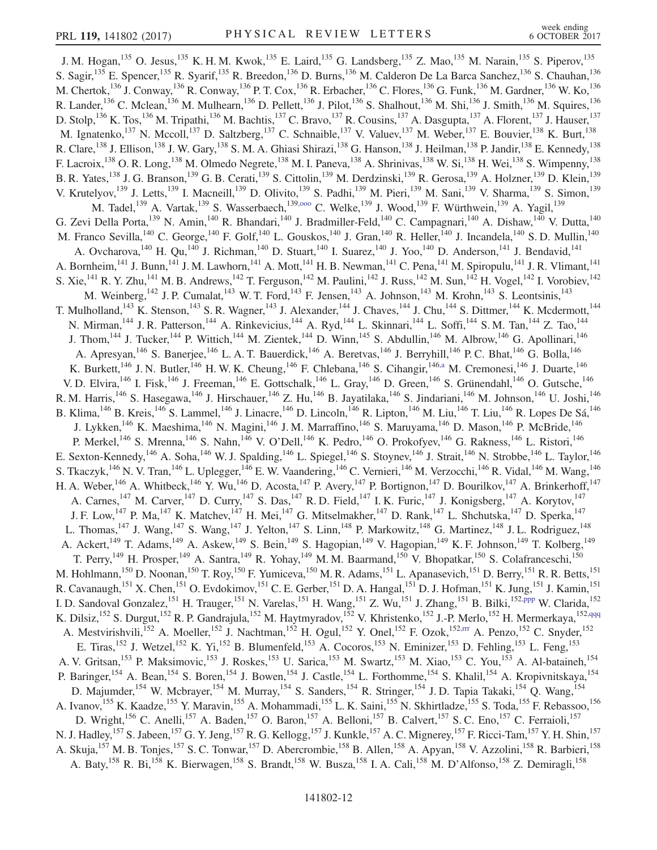<span id="page-11-4"></span><span id="page-11-3"></span><span id="page-11-2"></span><span id="page-11-1"></span><span id="page-11-0"></span>J. M. Hogan,<sup>135</sup> O. Jesus,<sup>135</sup> K. H. M. Kwok,<sup>135</sup> E. Laird,<sup>135</sup> G. Landsberg,<sup>135</sup> Z. Mao,<sup>135</sup> M. Narain,<sup>135</sup> S. Piperov,<sup>135</sup> S. Sagir,<sup>135</sup> E. Spencer,<sup>135</sup> R. Syarif,<sup>135</sup> R. Breedon,<sup>136</sup> D. Burns,<sup>136</sup> M. Calderon De La Barca Sanchez,<sup>136</sup> S. Chauhan,<sup>136</sup> M. Chertok,<sup>136</sup> J. Conway,<sup>136</sup> R. Conway,<sup>136</sup> P. T. Cox,<sup>136</sup> R. Erbacher,<sup>136</sup> C. Flores,<sup>136</sup> G. Funk,<sup>136</sup> M. Gardner,<sup>136</sup> W. Ko,<sup>136</sup> R. Lander,  $^{136}$  C. Mclean,  $^{136}$  M. Mulhearn,  $^{136}$  D. Pellett,  $^{136}$  J. Pilot,  $^{136}$  S. Shalhout,  $^{136}$  M. Shi,  $^{136}$  J. Smith,  $^{136}$  M. Squires,  $^{136}$ D. Stolp,<sup>136</sup> K. Tos,<sup>136</sup> M. Tripathi,<sup>136</sup> M. Bachtis,<sup>137</sup> C. Bravo,<sup>137</sup> R. Cousins,<sup>137</sup> A. Dasgupta,<sup>137</sup> A. Florent,<sup>137</sup> J. Hauser,<sup>137</sup> M. Ignatenko,<sup>137</sup> N. Mccoll,<sup>137</sup> D. Saltzberg,<sup>137</sup> C. Schnaible,<sup>137</sup> V. Valuev,<sup>137</sup> M. Weber,<sup>137</sup> E. Bouvier,<sup>138</sup> K. Burt,<sup>138</sup> R. Clare,<sup>138</sup> J. Ellison,<sup>138</sup> J. W. Gary,<sup>138</sup> S. M. A. Ghiasi Shirazi,<sup>138</sup> G. Hanson,<sup>138</sup> J. Heilman,<sup>138</sup> P. Jandir,<sup>138</sup> E. Kennedy,<sup>138</sup> F. Lacroix,<sup>138</sup> O. R. Long,<sup>138</sup> M. Olmedo Negrete,<sup>138</sup> M. I. Paneva,<sup>138</sup> A. Shrinivas,<sup>138</sup> W. Si,<sup>138</sup> H. Wei,<sup>138</sup> S. Wimpenny,<sup>138</sup> B. R. Yates,<sup>138</sup> J. G. Branson,<sup>139</sup> G. B. Cerati,<sup>139</sup> S. Cittolin,<sup>139</sup> M. Derdzinski,<sup>139</sup> R. Gerosa,<sup>139</sup> A. Holzner,<sup>139</sup> D. Klein,<sup>139</sup> V. Krutelyov,<sup>139</sup> J. Letts,<sup>139</sup> I. Macneill,<sup>139</sup> D. Olivito,<sup>139</sup> S. Padhi,<sup>139</sup> M. Pieri,<sup>139</sup> M. Sani,<sup>139</sup> V. Sharma,<sup>139</sup> S. Simon,<sup>139</sup> M. Tadel,<sup>139</sup> A. Vartak,<sup>139</sup> S. Wasserbaech,<sup>139,000</sup> C. Welke,<sup>139</sup> J. Wood,<sup>139</sup> F. Würthwein,<sup>139</sup> A. Yagil,<sup>139</sup> G. Zevi Della Porta,<sup>139</sup> N. Amin,<sup>140</sup> R. Bhandari,<sup>140</sup> J. Bradmiller-Feld,<sup>140</sup> C. Campagnari,<sup>140</sup> A. Dishaw,<sup>140</sup> V. Dutta,<sup>140</sup> M. Franco Sevilla,  $^{140}$  C. George,  $^{140}$  F. Golf,  $^{140}$  L. Gouskos,  $^{140}$  J. Gran,  $^{140}$  R. Heller,  $^{140}$  J. Incandela,  $^{140}$  S. D. Mullin,  $^{140}$ A. Ovcharova,  $^{140}$  H. Qu,  $^{140}$  J. Richman,  $^{140}$  D. Stuart,  $^{140}$  I. Suarez,  $^{140}$  J. Yoo,  $^{140}$  D. Anderson,  $^{141}$  J. Bendavid,  $^{141}$ A. Bornheim,<sup>141</sup> J. Bunn,<sup>141</sup> J. M. Lawhorn,<sup>141</sup> A. Mott,<sup>141</sup> H. B. Newman,<sup>141</sup> C. Pena,<sup>141</sup> M. Spiropulu,<sup>141</sup> J. R. Vlimant,<sup>141</sup> S. Xie,<sup>141</sup> R. Y. Zhu,<sup>141</sup> M. B. Andrews,<sup>142</sup> T. Ferguson,<sup>142</sup> M. Paulini,<sup>142</sup> J. Russ,<sup>142</sup> M. Sun,<sup>142</sup> H. Vogel,<sup>142</sup> I. Vorobiev,<sup>142</sup> M. Weinberg,<sup>142</sup> J. P. Cumalat,<sup>143</sup> W. T. Ford,<sup>143</sup> F. Jensen,<sup>143</sup> A. Johnson,<sup>143</sup> M. Krohn,<sup>143</sup> S. Leontsinis,<sup>143</sup> T. Mulholland,<sup>143</sup> K. Stenson,<sup>143</sup> S. R. Wagner,<sup>143</sup> J. Alexander,<sup>144</sup> J. Chaves,<sup>144</sup> J. Chu,<sup>144</sup> S. Dittmer,<sup>144</sup> K. Mcdermott,<sup>144</sup> N. Mirman, <sup>144</sup> J. R. Patterson, <sup>144</sup> A. Rinkevicius, <sup>144</sup> A. Ryd, <sup>144</sup> L. Skinnari, <sup>144</sup> L. Soffi, <sup>144</sup> S. M. Tan, <sup>144</sup> Z. Tao, <sup>144</sup> J. Thom, <sup>144</sup> J. Tucker, <sup>144</sup> P. Wittich, <sup>144</sup> M. Zientek, <sup>144</sup> D. Winn, <sup>145</sup> S. Abdullin, <sup>146</sup> M. Albrow, <sup>146</sup> G. Apollinari, <sup>146</sup> A. Apresyan,<sup>146</sup> S. Banerjee,<sup>146</sup> L. A. T. Bauerdick,<sup>146</sup> A. Beretvas,<sup>146</sup> J. Berryhill,<sup>146</sup> P. C. Bhat,<sup>146</sup> G. Bolla,<sup>146</sup> K. Burkett,<sup>146</sup> J. N. Butler,<sup>146</sup> H. W. K. Cheung,<sup>146</sup> F. Chlebana,<sup>146</sup> S. Cihangir,<sup>146[,a](#page-16-42)</sup> M. Cremonesi,<sup>146</sup> J. Duarte,<sup>146</sup> V. D. Elvira,  $^{146}$  I. Fisk,  $^{146}$  J. Freeman,  $^{146}$  E. Gottschalk,  $^{146}$  L. Gray,  $^{146}$  D. Green,  $^{146}$  S. Grünendahl,  $^{146}$  O. Gutsche,  $^{146}$ R. M. Harris,<sup>146</sup> S. Hasegawa,<sup>146</sup> J. Hirschauer,<sup>146</sup> Z. Hu,<sup>146</sup> B. Jayatilaka,<sup>146</sup> S. Jindariani,<sup>146</sup> M. Johnson,<sup>146</sup> U. Joshi,<sup>146</sup> B. Klima, <sup>146</sup> B. Kreis, <sup>146</sup> S. Lammel, <sup>146</sup> J. Linacre, <sup>146</sup> D. Lincoln, <sup>146</sup> R. Lipton, <sup>146</sup> M. Liu, <sup>146</sup> T. Liu, <sup>146</sup> R. Lopes De Sá, <sup>146</sup> J. Lykken,<sup>146</sup> K. Maeshima,<sup>146</sup> N. Magini,<sup>146</sup> J. M. Marraffino,<sup>146</sup> S. Maruyama,<sup>146</sup> D. Mason,<sup>146</sup> P. McBride,<sup>146</sup> P. Merkel,<sup>146</sup> S. Mrenna,<sup>146</sup> S. Nahn,<sup>146</sup> V. O'Dell,<sup>146</sup> K. Pedro,<sup>146</sup> O. Prokofyev,<sup>146</sup> G. Rakness,<sup>146</sup> L. Ristori,<sup>146</sup> E. Sexton-Kennedy,<sup>146</sup> A. Soha,<sup>146</sup> W. J. Spalding,<sup>146</sup> L. Spiegel,<sup>146</sup> S. Stoynev,<sup>146</sup> J. Strait,<sup>146</sup> N. Strobbe,<sup>146</sup> L. Taylor,<sup>146</sup> S. Tkaczyk,<sup>146</sup> N. V. Tran,<sup>146</sup> L. Uplegger,<sup>146</sup> E. W. Vaandering,<sup>146</sup> C. Vernieri,<sup>146</sup> M. Verzocchi,<sup>146</sup> R. Vidal,<sup>146</sup> M. Wang,<sup>146</sup> H. A. Weber,<sup>146</sup> A. Whitbeck,<sup>146</sup> Y. Wu,<sup>146</sup> D. Acosta,<sup>147</sup> P. Avery,<sup>147</sup> P. Bortignon,<sup>147</sup> D. Bourilkov,<sup>147</sup> A. Brinkerhoff,<sup>147</sup> A. Carnes,<sup>147</sup> M. Carver,<sup>147</sup> D. Curry,<sup>147</sup> S. Das,<sup>147</sup> R. D. Field,<sup>147</sup> I. K. Furic,<sup>147</sup> J. Konigsberg,<sup>147</sup> A. Korytov,<sup>147</sup> J. F. Low,<sup>147</sup> P. Ma,<sup>147</sup> K. Matchev,<sup>147</sup> H. Mei,<sup>147</sup> G. Mitselmakher,<sup>147</sup> D. Rank,<sup>147</sup> L. Shchutska,<sup>147</sup> D. Sperka,<sup>147</sup> L. Thomas,  $^{147}$  J. Wang,  $^{147}$  S. Wang,  $^{147}$  J. Yelton,  $^{147}$  S. Linn,  $^{148}$  P. Markowitz,  $^{148}$  G. Martinez,  $^{148}$  J. L. Rodriguez,  $^{148}$ A. Ackert,<sup>149</sup> T. Adams,<sup>149</sup> A. Askew,<sup>149</sup> S. Bein,<sup>149</sup> S. Hagopian,<sup>149</sup> V. Hagopian,<sup>149</sup> K. F. Johnson,<sup>149</sup> T. Kolberg,<sup>149</sup> T. Perry,<sup>149</sup> H. Prosper,<sup>149</sup> A. Santra,<sup>149</sup> R. Yohay,<sup>149</sup> M. M. Baarmand,<sup>150</sup> V. Bhopatkar,<sup>150</sup> S. Colafranceschi,<sup>150</sup> M. Hohlmann,<sup>150</sup> D. Noonan,<sup>150</sup> T. Roy,<sup>150</sup> F. Yumiceva,<sup>150</sup> M. R. Adams,<sup>151</sup> L. Apanasevich,<sup>151</sup> D. Berry,<sup>151</sup> R. R. Betts,<sup>151</sup> R. Cavanaugh,<sup>151</sup> X. Chen,<sup>151</sup> O. Evdokimov,<sup>151</sup> C. E. Gerber,<sup>151</sup> D. A. Hangal,<sup>151</sup> D. J. Hofman,<sup>151</sup> K. Jung,<sup>151</sup> J. Kamin,<sup>151</sup> I. D. Sandoval Gonzalez,<sup>151</sup> H. Trauger,<sup>151</sup> N. Varelas,<sup>151</sup> H. Wang,<sup>151</sup> Z. Wu,<sup>151</sup> J. Zhang,<sup>151</sup> B. Bilki,<sup>15[2,ppp](#page-17-22)</sup> W. Clarida,<sup>152</sup> K. Dilsiz, <sup>152</sup> S. Durgut, <sup>152</sup> R. P. Gandrajula, <sup>152</sup> M. Haytmyradov, <sup>152</sup> V. Khristenko, <sup>152</sup> J.-P. Merlo, <sup>152</sup> H. Mermerkaya, <sup>152[,qqq](#page-17-23)</sup> A. Mestvirishvili,<sup>152</sup> A. Moeller,<sup>152</sup> J. Nachtman,<sup>152</sup> H. Ogul,<sup>152</sup> Y. Onel,<sup>152</sup> F. Ozok,<sup>152, rrr</sup> A. Penzo,<sup>152</sup> C. Snyder,<sup>152</sup> E. Tiras,<sup>152</sup> J. Wetzel,<sup>152</sup> K. Yi,<sup>152</sup> B. Blumenfeld,<sup>153</sup> A. Cocoros,<sup>153</sup> N. Eminizer,<sup>153</sup> D. Fehling,<sup>153</sup> L. Feng,<sup>153</sup> A. V. Gritsan,<sup>153</sup> P. Maksimovic,<sup>153</sup> J. Roskes,<sup>153</sup> U. Sarica,<sup>153</sup> M. Swartz,<sup>153</sup> M. Xiao,<sup>153</sup> C. You,<sup>153</sup> A. Al-bataineh,<sup>154</sup> P. Baringer,<sup>154</sup> A. Bean,<sup>154</sup> S. Boren,<sup>154</sup> J. Bowen,<sup>154</sup> J. Castle,<sup>154</sup> L. Forthomme,<sup>154</sup> S. Khalil,<sup>154</sup> A. Kropivnitskaya,<sup>154</sup> D. Majumder, <sup>154</sup> W. Mcbrayer, <sup>154</sup> M. Murray, <sup>154</sup> S. Sanders, <sup>154</sup> R. Stringer, <sup>154</sup> J. D. Tapia Takaki, <sup>154</sup> Q. Wang, <sup>154</sup> A. Ivanov,<sup>155</sup> K. Kaadze,<sup>155</sup> Y. Maravin,<sup>155</sup> A. Mohammadi,<sup>155</sup> L. K. Saini,<sup>155</sup> N. Skhirtladze,<sup>155</sup> S. Toda,<sup>155</sup> F. Rebassoo,<sup>156</sup> D. Wright,<sup>156</sup> C. Anelli,<sup>157</sup> A. Baden,<sup>157</sup> O. Baron,<sup>157</sup> A. Belloni,<sup>157</sup> B. Calvert,<sup>157</sup> S. C. Eno,<sup>157</sup> C. Ferraioli,<sup>157</sup> N. J. Hadley, <sup>157</sup> S. Jabeen, <sup>157</sup> G. Y. Jeng, <sup>157</sup> R. G. Kellogg, <sup>157</sup> J. Kunkle, <sup>157</sup> A. C. Mignerey, <sup>157</sup> F. Ricci-Tam, <sup>157</sup> Y. H. Shin, <sup>157</sup> A. Skuja, <sup>157</sup> M. B. Tonjes, <sup>157</sup> S. C. Tonwar, <sup>157</sup> D. Abercrombie, <sup>158</sup> B. Allen, <sup>158</sup> A. Apyan, <sup>158</sup> V. Azzolini, <sup>158</sup> R. Barbieri, <sup>158</sup> A. Baty,<sup>158</sup> R. Bi,<sup>158</sup> K. Bierwagen,<sup>158</sup> S. Brandt,<sup>158</sup> W. Busza,<sup>158</sup> I. A. Cali,<sup>158</sup> M. D'Alfonso,<sup>158</sup> Z. Demiragli,<sup>158</sup>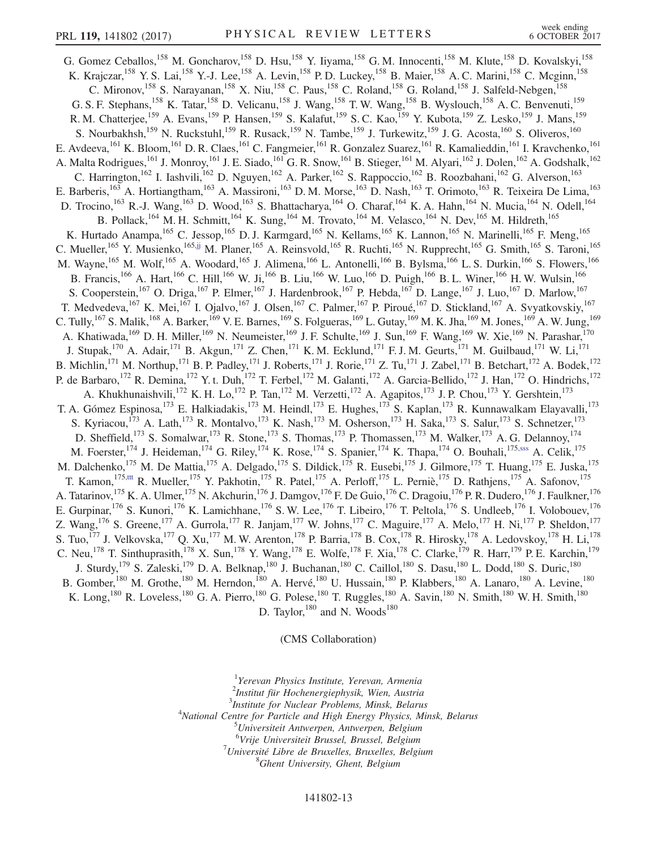G. Gomez Ceballos,<sup>158</sup> M. Goncharov,<sup>158</sup> D. Hsu,<sup>158</sup> Y. Iiyama,<sup>158</sup> G. M. Innocenti,<sup>158</sup> M. Klute,<sup>158</sup> D. Kovalskyi,<sup>158</sup> K. Krajczar,<sup>158</sup> Y. S. Lai,<sup>158</sup> Y.-J. Lee,<sup>158</sup> A. Levin,<sup>158</sup> P. D. Luckey,<sup>158</sup> B. Maier,<sup>158</sup> A. C. Marini,<sup>158</sup> C. Mcginn,<sup>158</sup> C. Mironov,<sup>158</sup> S. Narayanan,<sup>158</sup> X. Niu,<sup>158</sup> C. Paus,<sup>158</sup> C. Roland,<sup>158</sup> G. Roland,<sup>158</sup> J. Salfeld-Nebgen,<sup>158</sup> G. S. F. Stephans,<sup>158</sup> K. Tatar,<sup>158</sup> D. Velicanu,<sup>158</sup> J. Wang,<sup>158</sup> T. W. Wang,<sup>158</sup> B. Wyslouch,<sup>158</sup> A. C. Benvenuti,<sup>159</sup> R. M. Chatterjee,<sup>159</sup> A. Evans,<sup>159</sup> P. Hansen,<sup>159</sup> S. Kalafut,<sup>159</sup> S. C. Kao,<sup>159</sup> Y. Kubota,<sup>159</sup> Z. Lesko,<sup>159</sup> J. Mans,<sup>159</sup> S. Nourbakhsh,<sup>159</sup> N. Ruckstuhl,<sup>159</sup> R. Rusack,<sup>159</sup> N. Tambe,<sup>159</sup> J. Turkewitz,<sup>159</sup> J. G. Acosta,<sup>160</sup> S. Oliveros,<sup>160</sup> E. Avdeeva, <sup>161</sup> K. Bloom, <sup>161</sup> D. R. Claes, <sup>161</sup> C. Fangmeier, <sup>161</sup> R. Gonzalez Suarez, <sup>161</sup> R. Kamalieddin, <sup>161</sup> I. Kravchenko, <sup>161</sup> A. Malta Rodrigues,<sup>161</sup> J. Monroy,<sup>161</sup> J. E. Siado,<sup>161</sup> G. R. Snow,<sup>161</sup> B. Stieger,<sup>161</sup> M. Alyari,<sup>162</sup> J. Dolen,<sup>162</sup> A. Godshalk,<sup>162</sup> C. Harrington,<sup>162</sup> I. Iashvili,<sup>162</sup> D. Nguyen,<sup>162</sup> A. Parker,<sup>162</sup> S. Rappoccio,<sup>162</sup> B. Roozbahani,<sup>162</sup> G. Alverson,<sup>163</sup> E. Barberis,<sup>163</sup> A. Hortiangtham,<sup>163</sup> A. Massironi,<sup>163</sup> D. M. Morse,<sup>163</sup> D. Nash,<sup>163</sup> T. Orimoto,<sup>163</sup> R. Teixeira De Lima,<sup>163</sup> D. Trocino,<sup>163</sup> R.-J. Wang,<sup>163</sup> D. Wood,<sup>163</sup> S. Bhattacharya,<sup>164</sup> O. Charaf,<sup>164</sup> K. A. Hahn,<sup>164</sup> N. Mucia,<sup>164</sup> N. Odell,<sup>164</sup> B. Pollack,<sup>164</sup> M. H. Schmitt,<sup>164</sup> K. Sung,<sup>164</sup> M. Trovato,<sup>164</sup> M. Velasco,<sup>164</sup> N. Dev,<sup>165</sup> M. Hildreth,<sup>165</sup> K. Hurtado Anampa, <sup>165</sup> C. Jessop, <sup>165</sup> D. J. Karmgard, <sup>165</sup> N. Kellams, <sup>165</sup> K. Lannon, <sup>165</sup> N. Marinelli, <sup>165</sup> F. Meng, <sup>165</sup> C. Mueller, <sup>165</sup> Y. Musienko, <sup>165[,jj](#page-16-32)</sup> M. Planer, <sup>165</sup> A. Reinsvold, <sup>165</sup> R. Ruchti, <sup>165</sup> N. Rupprecht, <sup>165</sup> G. Smith, <sup>165</sup> S. Taroni, <sup>165</sup> M. Wayne,<sup>165</sup> M. Wolf,<sup>165</sup> A. Woodard,<sup>165</sup> J. Alimena,<sup>166</sup> L. Antonelli,<sup>166</sup> B. Bylsma,<sup>166</sup> L. S. Durkin,<sup>166</sup> S. Flowers,<sup>166</sup> B. Francis,<sup>166</sup> A. Hart,<sup>166</sup> C. Hill,<sup>166</sup> W. Ji,<sup>166</sup> B. Liu,<sup>166</sup> W. Luo,<sup>166</sup> D. Puigh,<sup>166</sup> B. L. Winer,<sup>166</sup> H. W. Wulsin,<sup>166</sup> S. Cooperstein,<sup>167</sup> O. Driga,<sup>167</sup> P. Elmer,<sup>167</sup> J. Hardenbrook,<sup>167</sup> P. Hebda,<sup>167</sup> D. Lange,<sup>167</sup> J. Luo,<sup>167</sup> D. Marlow,<sup>167</sup> T. Medvedeva,  $^{167}$  K. Mei,  $^{167}$  I. Ojalvo,  $^{167}$  J. Olsen,  $^{167}$  C. Palmer,  $^{167}$  P. Piroué,  $^{167}$  D. Stickland,  $^{167}$  A. Svyatkovskiy,  $^{167}$ C. Tully,<sup>167</sup> S. Malik,<sup>168</sup> A. Barker,<sup>169</sup> V. E. Barnes,<sup>169</sup> S. Folgueras,<sup>169</sup> L. Gutay,<sup>169</sup> M. K. Jha,<sup>169</sup> M. Jones,<sup>169</sup> A. W. Jung,<sup>169</sup> A. Khatiwada,<sup>169</sup> D. H. Miller,<sup>169</sup> N. Neumeister,<sup>169</sup> J. F. Schulte,<sup>169</sup> J. Sun,<sup>169</sup> F. Wang,<sup>169</sup> W. Xie,<sup>169</sup> N. Parashar,<sup>170</sup> J. Stupak,<sup>170</sup> A. Adair,<sup>171</sup> B. Akgun,<sup>171</sup> Z. Chen,<sup>171</sup> K. M. Ecklund,<sup>171</sup> F. J. M. Geurts,<sup>171</sup> M. Guilbaud,<sup>171</sup> W. Li,<sup>171</sup> B. Michlin,<sup>171</sup> M. Northup,<sup>171</sup> B. P. Padley,<sup>171</sup> J. Roberts,<sup>171</sup> J. Rorie,<sup>171</sup> Z. Tu,<sup>171</sup> J. Zabel,<sup>171</sup> B. Betchart,<sup>172</sup> A. Bodek,<sup>172</sup> P. de Barbaro,<sup>172</sup> R. Demina,<sup>172</sup> Y. t. Duh,<sup>172</sup> T. Ferbel,<sup>172</sup> M. Galanti,<sup>172</sup> A. Garcia-Bellido,<sup>172</sup> J. Han,<sup>172</sup> O. Hindrichs,<sup>172</sup> A. Khukhunaishvili,<sup>172</sup> K. H. Lo,<sup>172</sup> P. Tan,<sup>172</sup> M. Verzetti,<sup>172</sup> A. Agapitos,<sup>173</sup> J. P. Chou,<sup>173</sup> Y. Gershtein,<sup>173</sup> T. A. Gómez Espinosa,<sup>173</sup> E. Halkiadakis,<sup>173</sup> M. Heindl,<sup>173</sup> E. Hughes,<sup>173</sup> S. Kaplan,<sup>173</sup> R. Kunnawalkam Elayavalli,<sup>173</sup> S. Kyriacou,<sup>173</sup> A. Lath,<sup>173</sup> R. Montalvo,<sup>173</sup> K. Nash,<sup>173</sup> M. Osherson,<sup>173</sup> H. Saka,<sup>173</sup> S. Salur,<sup>173</sup> S. Schnetzer,<sup>173</sup> D. Sheffield,<sup>173</sup> S. Somalwar,<sup>173</sup> R. Stone,<sup>173</sup> S. Thomas,<sup>173</sup> P. Thomassen,<sup>173</sup> M. Walker,<sup>173</sup> A. G. Delannoy,<sup>174</sup> M. Foerster,<sup>174</sup> J. Heideman,<sup>174</sup> G. Riley,<sup>174</sup> K. Rose,<sup>174</sup> S. Spanier,<sup>174</sup> K. Thapa,<sup>174</sup> O. Bouhali,<sup>175[,sss](#page-17-25)</sup> A. Celik,<sup>175</sup> M. Dalchenko,<sup>175</sup> M. De Mattia,<sup>175</sup> A. Delgado,<sup>175</sup> S. Dildick,<sup>175</sup> R. Eusebi,<sup>175</sup> J. Gilmore,<sup>175</sup> T. Huang,<sup>175</sup> E. Juska,<sup>175</sup> T. Kamon,<sup>175[,ttt](#page-17-26)</sup> R. Mueller,<sup>175</sup> Y. Pakhotin,<sup>175</sup> R. Patel,<sup>175</sup> A. Perloff,<sup>175</sup> L. Perniè,<sup>175</sup> D. Rathjens,<sup>175</sup> A. Safonov,<sup>175</sup> A. Tatarinov,<sup>175</sup> K. A. Ulmer,<sup>175</sup> N. Akchurin,<sup>176</sup> J. Damgov,<sup>176</sup> F. De Guio,<sup>176</sup> C. Dragoiu,<sup>176</sup> P. R. Dudero,<sup>176</sup> J. Faulkner,<sup>176</sup> E. Gurpinar, <sup>176</sup> S. Kunori, <sup>176</sup> K. Lamichhane, <sup>176</sup> S. W. Lee, <sup>176</sup> T. Libeiro, <sup>176</sup> T. Peltola, <sup>176</sup> S. Undleeb, <sup>176</sup> I. Volobouev, <sup>176</sup> Z. Wang,  $^{176}$  S. Greene,  $^{177}$  A. Gurrola,  $^{177}$  R. Janjam,  $^{177}$  W. Johns,  $^{177}$  C. Maguire,  $^{177}$  A. Melo,  $^{177}$  H. Ni,  $^{177}$  P. Sheldon,  $^{177}$ S. Tuo,<sup>177</sup> J. Velkovska,<sup>177</sup> Q. Xu,<sup>177</sup> M. W. Arenton,<sup>178</sup> P. Barria,<sup>178</sup> B. Cox,<sup>178</sup> R. Hirosky,<sup>178</sup> A. Ledovskoy,<sup>178</sup> H. Li,<sup>178</sup> C. Neu,<sup>178</sup> T. Sinthuprasith,<sup>178</sup> X. Sun,<sup>178</sup> Y. Wang,<sup>178</sup> E. Wolfe,<sup>178</sup> F. Xia,<sup>178</sup> C. Clarke,<sup>179</sup> R. Harr,<sup>179</sup> P. E. Karchin,<sup>179</sup> J. Sturdy, <sup>179</sup> S. Zaleski, <sup>179</sup> D. A. Belknap, <sup>180</sup> J. Buchanan, <sup>180</sup> C. Caillol, <sup>180</sup> S. Dasu, <sup>180</sup> L. Dodd, <sup>180</sup> S. Duric, <sup>180</sup> B. Gomber,<sup>180</sup> M. Grothe,<sup>180</sup> M. Herndon,<sup>180</sup> A. Hervé,<sup>180</sup> U. Hussain,<sup>180</sup> P. Klabbers,<sup>180</sup> A. Lanaro,<sup>180</sup> A. Levine,<sup>180</sup> K. Long,<sup>180</sup> R. Loveless,<sup>180</sup> G. A. Pierro,<sup>180</sup> G. Polese,<sup>180</sup> T. Ruggles,<sup>180</sup> A. Savin,<sup>180</sup> N. Smith,<sup>180</sup> W. H. Smith,<sup>180</sup> D. Taylor,  $180$  and N. Woods  $180$ 

(CMS Collaboration)

<span id="page-12-1"></span><span id="page-12-0"></span><sup>1</sup>Yerevan Physics Institute, Yerevan, Armenia <sup>2</sup>Institut für Hochenergiephysik, Wien, Austria<sup>3</sup>Institute for Nuclear Broblems, Mingle Belgru  $3$ Institute for Nuclear Problems, Minsk, Belarus <sup>4</sup>National Centre for Particle and High Energy Physics, Minsk, Belarus Universiteit Antwerpen, Antwerpen, Belgium <sup>6</sup>Vrije Universiteit Brussel, Brussel, Belgium<br><sup>7</sup>Université Libre de Pruxelles, Pruxelles, Belgium  $17$ Université Libre de Bruxelles, Bruxelles, Belgium

<sup>8</sup>Ghent University, Ghent, Belgium

## 141802-13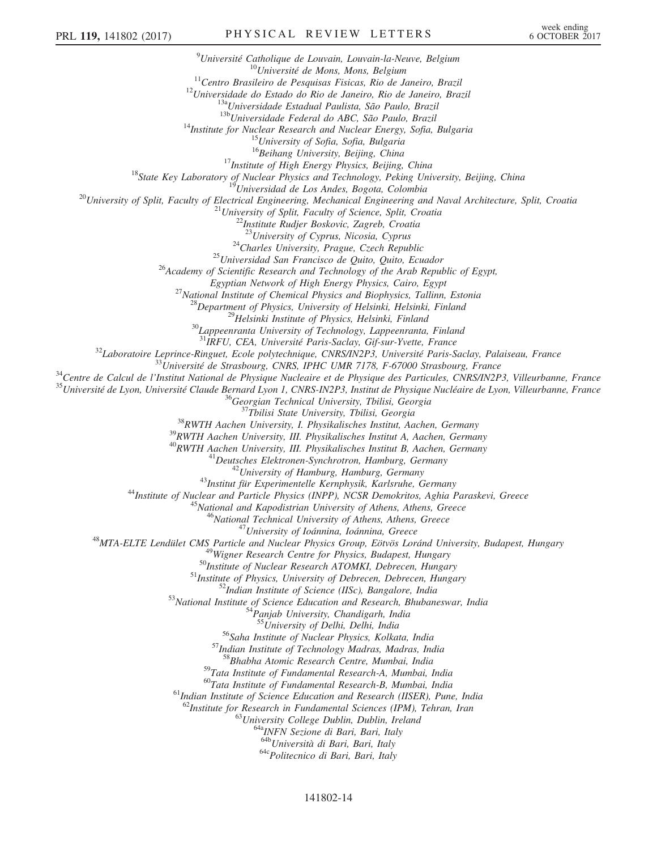<sup>9</sup>Université Catholique de Louvain, Louvain-la-Neuve, Belgium <sup>10</sup>Université de Mons, Mons, Belgium<br><sup>11</sup>Centro Brasileiro de Pesquisas Fisicas, Rio de Janeiro, Brazil<br><sup>12</sup>Universidade do Estado do Rio de Janeiro, Rio de Janeiro, Brazil<br><sup>138</sup>Universidade Estadual Paulista, São Paulo, <sup>17</sup>*Institute of High Energy Physics, Beijing, China*<br><sup>18</sup>*State Key Laboratory of Nuclear Physics and Technology, Peking University, Beijing, China*<br><sup>19</sup>*Universidad de Los Andes, Bogota, Colombia*<br><sup>20</sup>*University of Sp* <sup>24</sup>Charles University, Prague, Czech Republic<br><sup>25</sup>Universidad San Francisco de Quito, Quito, Ecuador <sup>26</sup>Academy of Scientific Research and Technology of the Arab Republic of Egypt, Egyptian Network of High Energy Physics, Cairo, Egypt<br>
<sup>27</sup> National Institute of Chemical Physics and Biophysics, Tallinn, Estonia<br>
<sup>28</sup> Department of Physics, University of Helsinki, Helsinki, Finland<br>
<sup>29</sup> Helsinki Ins <sup>31</sup>IRFU, CEA, Université Paris-Saclay, Gif-sur-Yvette, France <sup>32</sup>Laboratoire Leprince-Ringuet, Ecole polytechnique, CNRS/IN2P3, Université Paris-Saclay, Palaiseau, France <sup>33</sup>Université de Strasbourg, CNRS, IPHC UMR 7178, F-67000 Strasbourg, France <sup>34</sup>Centre de Calcul de l'Institut National de Physique Nucleaire et de Physique des Particules, CNRS/IN2P3, Villeurbanne, France <sup>35</sup>Université de Lyon, Université Claude Bernard Lyon 1, CNRS-IN2P3, Institut de Physique Nucléaire de Lyon, Villeurbanne, France <sup>36</sup>Georgian Technical University, Tbilisi, Georgia <sup>37</sup>Tbilisi State University, Tbilisi, Georgia <sup>38</sup>RWTH Aachen University, I. Physikalisches Institut, Aachen, Germany <sup>39</sup>RWTH Aachen University, III. Physikalisches Institut A, Aachen, Germany  $\begin{array}{c} \begin{array}{c} \begin{array}{c} \begin{array}{c} \begin{array}{c} \begin{array}{c} \begin{array}{c} \begin{array}{c} \begin{array}{c} \begin{array}{c} \begin{array}{c} \begin{array}{c} \end{array}} \end{array} & \begin{array}{c} \begin{array}{c} \end{array} \end{array} & \begin{array}{c} \end{array} & \begin{array}{c} \end{array} & \begin{array}{c} \end{array} & \begin{array}{c} \end{array} & \begin{array}{c} \end{array} & \begin{array}{c} \end{array} & \begin{array}{c} \end{array} & \begin{array}{c} \end$ <sup>54</sup>Panjab University, Chandigarh, India<br><sup>55</sup>University of Delhi, Delhi, India<br><sup>56</sup>Saha Institute of Nuclear Physics, Kolkata, India<br><sup>57</sup>Indian Institute of Technology Madras, Madras, India <sup>58</sup>Bhabha Atomic Research Centre, Mumbai, India <sup>59</sup>Tata Institute of Fundamental Research-A, Mumbai, India<br><sup>60</sup>Tata Institute of Fundamental Research-B, Mumbai, India  $<sup>61</sup>$ Indian Institute of Science Education and Research (IISER), Pune, India</sup> <sup>62</sup>Institute for Research in Fundamental Sciences (IPM), Tehran, Iran <sup>63</sup>University College Dublin, Dublin, Ireland <sup>64a</sup>INFN Sezione di Bari, Bari, Italy <sup>64b</sup>Università di Bari, Bari, Italy <sup>64c</sup>Politecnico di Bari, Bari, Italy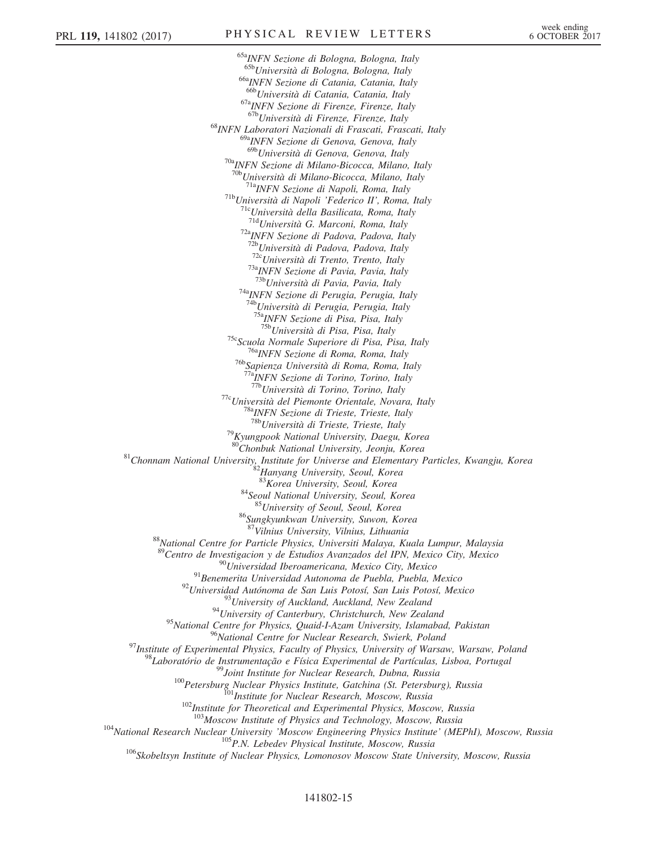<sup>65a</sup>INFN Sezione di Bologna, Bologna, Italy<br><sup>65b</sup>Università di Bologna, Bologna, Italy <sup>66a</sup>INFN Sezione di Catania, Catania, Italy<br><sup>666</sup>Università di Catania, Catania, Italy <sup>67a</sup>INFN Sezione di Firenze, Firenze, Italy 6<sup>7b</sup>Università di Firenze, Firenze, Italy <sup>68</sup>INFN Laboratori Nazionali di Frascati, Frascati, Italy <sup>69a</sup>INFN Sezione di Genova, Genova, Italy<br><sup>69b</sup>Università di Genova, Genova, Italy <sup>70a</sup>INFN Sezione di Milano-Bicocca, Milano, Italy <sup>70b</sup>Università di Milano-Bicocca, Milano, Italy<br><sup>71a</sup>INFN Sezione di Napoli, Roma, Italy <sup>71b</sup>Università di Napoli 'Federico II', Roma, Italy <sup>71c</sup>Università della Basilicata, Roma, Italy <sup>71d</sup>Università G. Marconi, Roma, Italy <sup>72a</sup>INFN Sezione di Padova, Padova, Italy  $\frac{72b}{12}$ Università di Padova, Padova, Italy<br> $\frac{72c}{12}$ Università di Trento, Trento, Italy <sup>73a</sup>INFN Sezione di Pavia, Pavia, Italy<br><sup>73b</sup>Università di Pavia, Pavia, Italy <sup>74a</sup>INFN Sezione di Perugia, Perugia, Italy <sup>74b</sup>Università di Perugia, Perugia, Italy  $\frac{75a}{175b}$ INFN Sezione di Pisa, Pisa, Italy <sup>75c</sup>Scuola Normale Superiore di Pisa, Pisa, Italy<br><sup>76a</sup>INFN Sezione di Roma, Roma, Italy<br><sup>76b</sup>Sapienza Università di Roma, Roma, Italy <sup>77a</sup>INFN Sezione di Torino, Torino, Italy<br><sup>77b</sup>Università di Torino, Torino, Italy <sup>77c</sup>Università del Piemonte Orientale, Novara, Italy <sup>78a</sup>INFN Sezione di Trieste, Trieste, Italy <sup>78b</sup>Università di Trieste, Trieste, Italy <sup>79</sup>Kyungpook National University, Daegu, Korea<br><sup>80</sup>Chonbuk National University, Jeonju, Korea <sup>81</sup>Chonnam National University, Institute for Universe and Elementary Particles, Kwangju, Korea  $^{82}$ Hanyang University, Seoul, Korea  $^{83}$ Korea University, Seoul, Korea <sup>84</sup>Seoul National University, Seoul, Korea<br><sup>85</sup>University of Seoul, Seoul, Korea  $86$ Sungkyunkwan University, Suwon, Korea  $87$ Vilnius University, Vilnius, Lithuania <sup>88</sup>National Centre for Particle Physics, Universiti Malaya, Kuala Lumpur, Malaysia <sup>89</sup>Centro de Investigacion y de Estudios Avanzados del IPN, Mexico City, Mexico<br><sup>90</sup>Universidad Iberoamericana, Mexico City, Mexico<br><sup>91</sup>Benemerita Universidad Autonoma de Puebla, Puebla, Mexico<br><sup>92</sup>Universidad Autónoma d <sup>95</sup>National Centre for Physics, Quaid-I-Azam University, Islamabad, Pakistan <sup>97</sup>Institute of Experimental Physics, Faculty of Physics, University of Warsaw, Warsaw, Poland<br><sup>97</sup>Institute of Experimental Physics, Faculty of Physics, University of Warsaw, Warsaw, Poland<br><sup>98</sup>Laboratório de Instrument <sup>104</sup>National Research Nuclear University 'Moscow Engineering Physics Institute' (MEPhI), Moscow, Russia<br><sup>105</sup>P.N. Lebedev Physical Institute, Moscow, Russia<br><sup>106</sup>Skobeltsyn Institute of Nuclear Physics, Lomonosov Moscow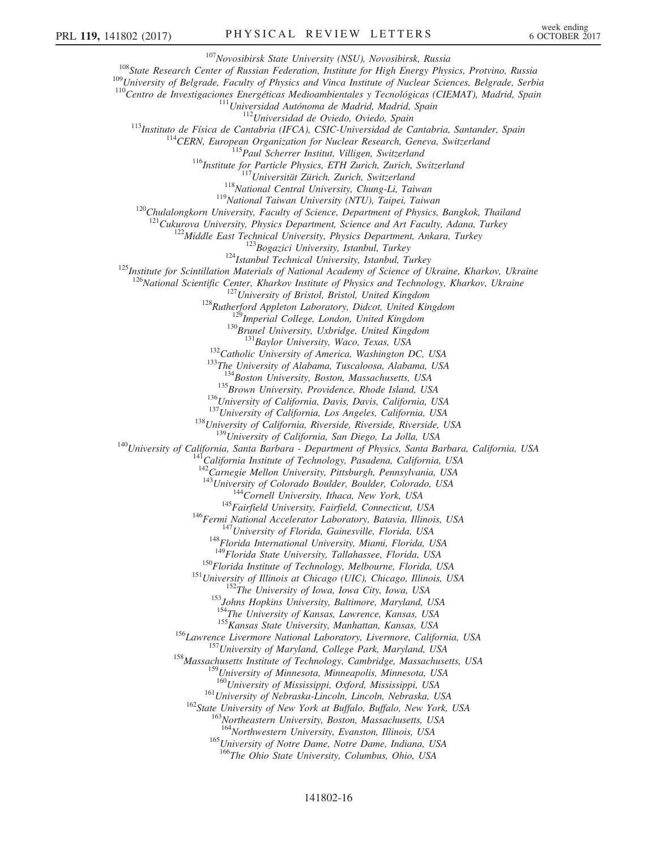$\begin{array}{c} \text{^{107}Novosibirsk State University (NSU), Novosibirsk, Russia}\\ \text{^{108} State Research Center of Russian Federation, Institute for High Energy Physics, Protvino, Russia}\\ \text{^{109} University of Belgrade, Faculty of Physics and Vinca Institute of Nuclear Sciences, Belgrade, Serbia}\\ \text{^{110}Centro de Investigaciones Energéticas Medioambientales y Tecnológicas (CIEMAT), Madrid, Spain\\ \text{^{111}Universityedad Autónoma de Madrid, Spain}\\ \text{^{112}Universityedad Autónoma de Madrid, Modia, Spain}\\ \text{^{113}Instituto de Física de Cantabria (IFCA), CSIC-Universidad de Cantabria, Santander, Spain\\ \text{^{114}CERN, European Organization$ <sup>120</sup>Chulalongkorn University, Faculty of Science, Department of Physics, Bangkok, Thailand<br><sup>121</sup>Cukurova University, Physics Department, Science and Art Faculty, Adana, Turkey<br><sup>122</sup>Middle East Technical University, Physi <sup>126</sup>National Scientific Center, Kharkov Institute of Physics and Technology, Kharkov, Ukraine<br><sup>127</sup>University of Bristol, Bristol, United Kingdom<br><sup>128</sup>Rutherford Appleton Laboratory, Didcot, United Kingdom<br><sup>129</sup>Imperial <sup>135</sup>Brown University, Providence, Rhode Island, USA<br><sup>136</sup>University of California, Davis, Davis, California, USA<br><sup>137</sup>University of California, Los Angeles, California, USA<br><sup>138</sup>University of California, Riverside, River  $^{142}$ Carnegie Mellon University, Pittsburgh, Pennsylvania, USA<br> $^{143}$ University of Colorado Boulder, Boulder, Colorado, USA <sup>144</sup> Cornell University, Ithaca, New York, USA<br><sup>145</sup> Fairfield University, Fairfield, Connecticut, USA<br><sup>146</sup> Fermi National Accelerator Laboratory, Batavia, Illinois, USA<br><sup>147</sup> University of Florida, Gainesville, Florida <sup>150</sup>Florida Institute of Technology, Melbourne, Florida, USA<br><sup>151</sup>University of Illinois at Chicago (UIC), Chicago, Illinois, USA<br><sup>152</sup>The University of Iowa, Iowa City, Iowa, USA<br><sup>153</sup>Johns Hopkins University, Baltimore <sup>155</sup> Kansas State University, Manhattan, Kansas, USA<br><sup>156</sup> Lawrence Livermore National Laboratory, Livermore, California, USA<br><sup>157</sup> University of Maryland, College Park, Maryland, USA<br><sup>158</sup> Massachusetts Institute of Tec  $^{159}$ University of Minnesota, Minneapolis, Minnesota, USA<br> $^{160}$ University of Mississippi, Oxford, Mississippi, USA  $^{161}$ University of Nebraska-Lincoln, Lincoln, Nebraska, USA<br> $^{162}$ State University of New York at Buffalo, Buffalo, New York, USA<br> $^{163}$ Northeastern University, Boston, Massachusetts, USA<br> $^{164}$ Northwestern Universit

<sup>165</sup>University of Notre Dame, Notre Dame, Indiana, USA <sup>166</sup>The Ohio State University, Columbus, Ohio, USA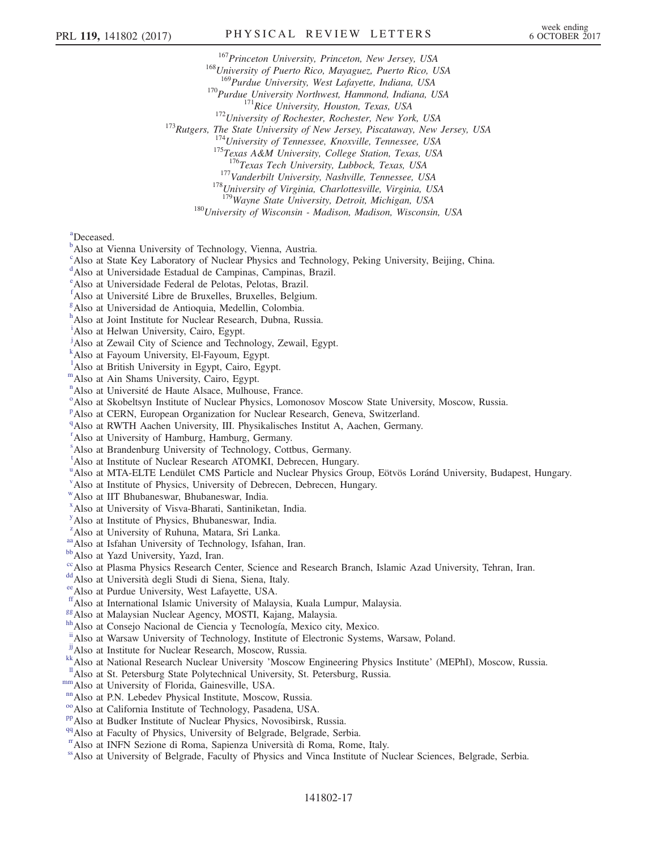<sup>167</sup>Princeton University, Princeton, New Jersey, USA<br><sup>168</sup>University of Puerto Rico, Mayaguez, Puerto Rico, USA<br><sup>169</sup>Purdue University, West Lafayette, Indiana, USA

<sup>170</sup>Purdue University Northwest, Hammond, Indiana, USA<br><sup>171</sup>Rice University, Houston, Texas, USA<br><sup>172</sup>University of Rochester, Rochester, New York, USA<br><sup>173</sup>Rutgers, The State University of New Jersey, Piscataway, New Je

<sup>177</sup>Vanderbilt University, Nashville, Tennessee, USA <sup>178</sup>University of Virginia, Charlottesville, Virginia, USA <sup>179</sup>Wayne State University, Detroit, Michigan, USA

 $180$ University of Wisconsin - Madison, Madison, Wisconsin, USA

<span id="page-16-42"></span>[a](#page-11-0) Deceased.

- <span id="page-16-0"></span><sup>[b](#page-6-22)</sup>Also at Vienna University of Technology, Vienna, Austria.
- <span id="page-16-1"></span><sup>[c](#page-7-0)</sup>Also at State Key Laboratory of Nuclear Physics and Technology, Peking University, Beijing, China.

<span id="page-16-2"></span><sup>[d](#page-7-1)</sup>Also at Universidade Estadual de Campinas, Campinas, Brazil.

<span id="page-16-3"></span>[e](#page-7-2) Also at Universidade Federal de Pelotas, Pelotas, Brazil.

<span id="page-16-4"></span>[f](#page-7-3) Also at Université Libre de Bruxelles, Bruxelles, Belgium.

<span id="page-16-5"></span><sup>[g](#page-7-4)</sup>Also at Universidad de Antioquia, Medellin, Colombia.

<span id="page-16-6"></span>[h](#page-7-5) Also at Joint Institute for Nuclear Research, Dubna, Russia.

<span id="page-16-7"></span><sup>[i](#page-7-6)</sup>Also at Helwan University, Cairo, Egypt.

<sup>j</sup>Also at Zewail City of Science and Technology, Zewail, Egypt.

<span id="page-16-8"></span>[k](#page-7-6) Also at Fayoum University, El-Fayoum, Egypt.

<span id="page-16-9"></span><sup>1</sup>A[l](#page-7-7)so at British University in Egypt, Cairo, Egypt.

mAlso at Ain Shams University, Cairo, Egypt.

<span id="page-16-10"></span><sup>[n](#page-7-8)</sup>Also at Université de Haute Alsace, Mulhouse, France.

<span id="page-16-11"></span><sup>[o](#page-7-9)</sup>Also at Skobeltsyn Institute of Nuclear Physics, Lomonosov Moscow State University, Moscow, Russia.

<span id="page-16-12"></span><su[p](#page-7-10)>p</sup>Also at CERN, European Organization for Nuclear Research, Geneva, Switzerland.

<span id="page-16-13"></span><sup>[q](#page-7-11)</sup>Also at RWTH Aachen University, III. Physikalisches Institut A, Aachen, Germany.

<span id="page-16-14"></span>[r](#page-7-12) Also at University of Hamburg, Hamburg, Germany.

<span id="page-16-15"></span>[s](#page-7-13) Also at Brandenburg University of Technology, Cottbus, Germany.

<span id="page-16-16"></span><sup>[t](#page-8-0)</sup>Also at Institute of Nuclear Research ATOMKI, Debrecen, Hungary.

<span id="page-16-17"></span><s[u](#page-8-1)p>u</sup>Also at MTA-ELTE Lendület CMS Particle and Nuclear Physics Group, Eötvös Loránd University, Budapest, Hungary.

<span id="page-16-18"></span><sup>[v](#page-8-1)</sup>Also at Institute of Physics, University of Debrecen, Debrecen, Hungary.

<span id="page-16-19"></span>[w](#page-8-2)Also at IIT Bhubaneswar, Bhubaneswar, India.

<span id="page-16-20"></span>[x](#page-8-3) Also at University of Visva-Bharati, Santiniketan, India.

<span id="page-16-21"></span>[y](#page-8-4) Also at Institute of Physics, Bhubaneswar, India.

<span id="page-16-22"></span><sup>[z](#page-8-3)</sup>Also at University of Ruhuna, Matara, Sri Lanka.

<span id="page-16-23"></span>[aa](#page-8-5) Also at Isfahan University of Technology, Isfahan, Iran. [bb](#page-8-6) Also at Yazd University, Yazd, Iran.

<span id="page-16-24"></span>

<span id="page-16-25"></span><sup>[cc](#page-8-6)</sup>Also at Plasma Physics Research Center, Science and Research Branch, Islamic Azad University, Tehran, Iran. [dd](#page-8-7)<br>dAlso at Università degli Studi di Siena, Siena, Italy.

<span id="page-16-26"></span>

<span id="page-16-28"></span>

<span id="page-16-27"></span>[ee](#page-9-0) Also at Purdue University, West Lafayette, USA.<br>
<sup>ff</sup> Also at International Islamic University of Malaysia, Kuala Lumpur, Malaysia.

<span id="page-16-30"></span><span id="page-16-29"></span><sup>[gg](#page-9-1)</sup>Also at Malaysian Nuclear Agency, MOSTI, Kajang, Malaysia. [hh](#page-9-2)<br>hhAlso at Consejo Nacional de Ciencia y Tecnología, Mexico city, Mexico.

<span id="page-16-31"></span>[ii](#page-9-3) Also at Warsaw University of Technology, Institute of Electronic Systems, Warsaw, Poland.<br>
<sup>jj</sup> Also at Institute for Nuclear Research, Moscow, Russia.

<span id="page-16-32"></span>

<span id="page-16-35"></span><sup>[kk](#page-9-5)</sup>Also at National Research Nuclear University 'Moscow Engineering Physics Institute' (MEPhI), Moscow, Russia.<br>
<sup>11</sup>Also at St. Petersburg State Polytechnical University, St. Petersburg, Russia.<br>
<sup>nm</sup> Also at University

<span id="page-16-33"></span>

<span id="page-16-36"></span><span id="page-16-34"></span>

<span id="page-16-37"></span>

<span id="page-16-39"></span><span id="page-16-38"></span>

<span id="page-16-40"></span>[rr](#page-10-0)Also at INFN Sezione di Roma, Sapienza Università di Roma, Rome, Italy.

<span id="page-16-41"></span>[ss](#page-10-1)Also at University of Belgrade, Faculty of Physics and Vinca Institute of Nuclear Sciences, Belgrade, Serbia.